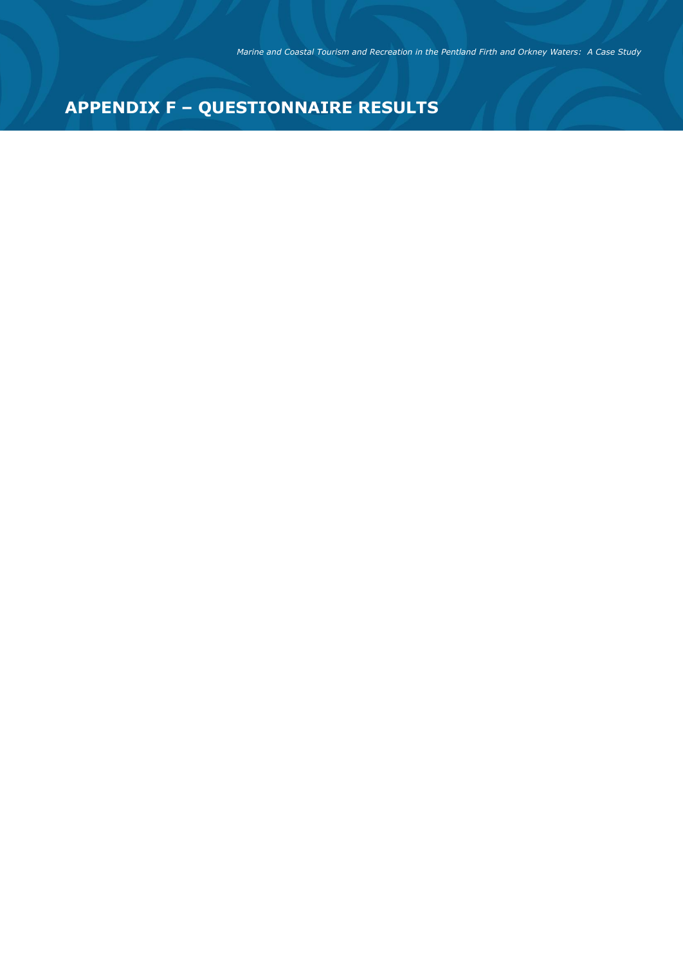# **APPENDIX F – QUESTIONNAIRE RESULTS**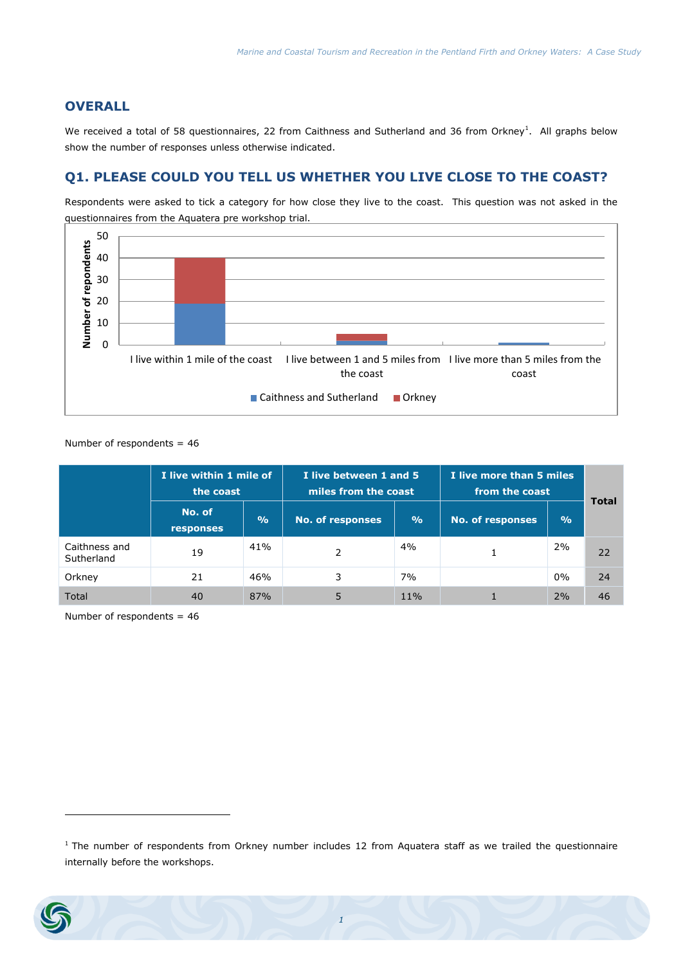#### **OVERALL**

We received a total of 58 questionnaires, 22 from Caithness and Sutherland and 36 from Orkney<sup>1</sup>. All graphs below show the number of responses unless otherwise indicated.

# **Q1. PLEASE COULD YOU TELL US WHETHER YOU LIVE CLOSE TO THE COAST?**

Respondents were asked to tick a category for how close they live to the coast. This question was not asked in the questionnaires from the Aquatera pre workshop trial.



#### Number of respondents = 46

|                             | I live within 1 mile of<br>the coast |               | I live between 1 and 5<br>miles from the coast |               | I live more than 5 miles<br>from the coast | <b>Total</b>  |    |
|-----------------------------|--------------------------------------|---------------|------------------------------------------------|---------------|--------------------------------------------|---------------|----|
|                             | No. of<br><b>responses</b>           | $\frac{O}{O}$ | <b>No. of responses</b>                        | $\frac{9}{6}$ | <b>No. of responses</b>                    | $\frac{0}{0}$ |    |
| Caithness and<br>Sutherland | 19                                   | 41%           | 2                                              | 4%            |                                            | 2%            | 22 |
| Orkney                      | 21                                   | 46%           | 3                                              | 7%            |                                            | $0\%$         | 24 |
| Total                       | 40                                   | 87%           | 5                                              | 11%           |                                            | 2%            | 46 |

Number of respondents = 46

 $1$  The number of respondents from Orkney number includes 12 from Aquatera staff as we trailed the questionnaire internally before the workshops.



-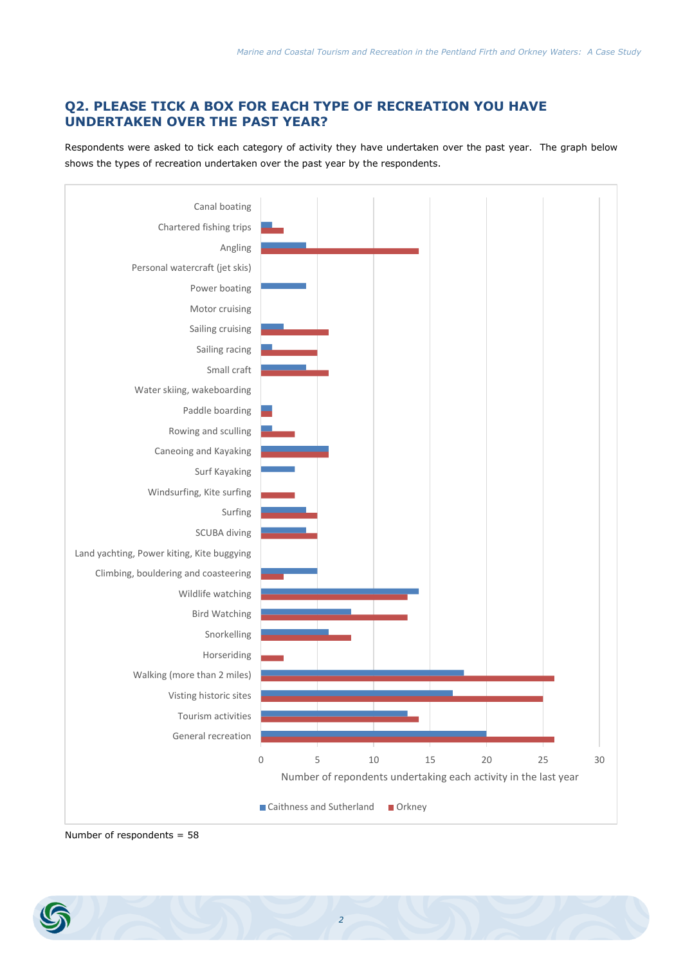# **Q2. PLEASE TICK A BOX FOR EACH TYPE OF RECREATION YOU HAVE UNDERTAKEN OVER THE PAST YEAR?**

Respondents were asked to tick each category of activity they have undertaken over the past year. The graph below shows the types of recreation undertaken over the past year by the respondents.



Number of respondents = 58

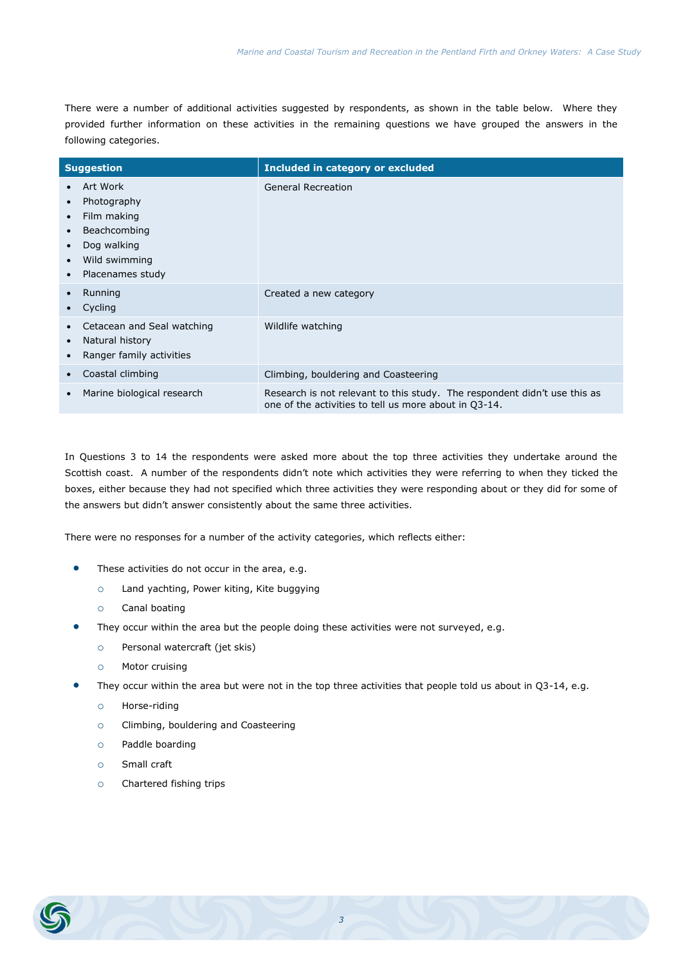There were a number of additional activities suggested by respondents, as shown in the table below. Where they provided further information on these activities in the remaining questions we have grouped the answers in the following categories.

| <b>Suggestion</b>                                                                                                                                              | Included in category or excluded                                                                                                   |
|----------------------------------------------------------------------------------------------------------------------------------------------------------------|------------------------------------------------------------------------------------------------------------------------------------|
| Art Work<br>Photography<br>$\bullet$<br>Film making<br>$\bullet$<br>Beachcombing<br>$\bullet$<br>Dog walking<br>Wild swimming<br>$\bullet$<br>Placenames study | <b>General Recreation</b>                                                                                                          |
| Running<br>Cycling                                                                                                                                             | Created a new category                                                                                                             |
| Cetacean and Seal watching<br>Natural history<br>$\bullet$<br>Ranger family activities                                                                         | Wildlife watching                                                                                                                  |
| Coastal climbing                                                                                                                                               | Climbing, bouldering and Coasteering                                                                                               |
| Marine biological research                                                                                                                                     | Research is not relevant to this study. The respondent didn't use this as<br>one of the activities to tell us more about in Q3-14. |

In Questions 3 to 14 the respondents were asked more about the top three activities they undertake around the Scottish coast. A number of the respondents didn't note which activities they were referring to when they ticked the boxes, either because they had not specified which three activities they were responding about or they did for some of the answers but didn't answer consistently about the same three activities.

There were no responses for a number of the activity categories, which reflects either:

- These activities do not occur in the area, e.g.
	- o Land yachting, Power kiting, Kite buggying
	- o Canal boating
- They occur within the area but the people doing these activities were not surveyed, e.g.
	- o Personal watercraft (jet skis)
	- o Motor cruising
- They occur within the area but were not in the top three activities that people told us about in Q3-14, e.g.
	- o Horse-riding
	- o Climbing, bouldering and Coasteering
	- o Paddle boarding
	- o Small craft
	- o Chartered fishing trips

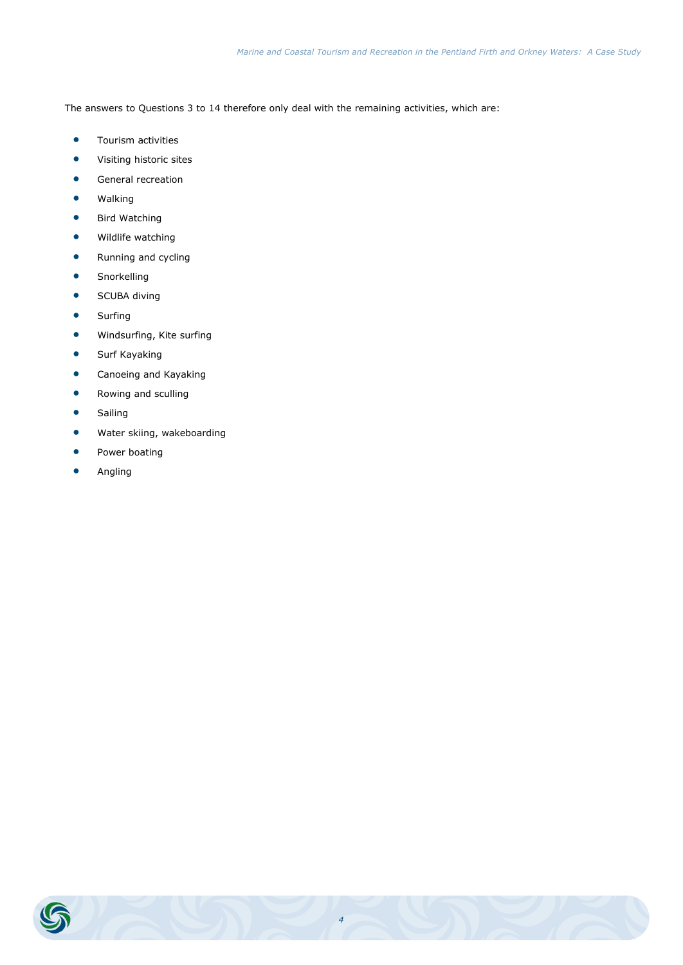The answers to Questions 3 to 14 therefore only deal with the remaining activities, which are:

- **•** Tourism activities
- Visiting historic sites
- **General recreation**
- **•** Walking
- **•** Bird Watching
- **•** Wildlife watching
- Running and cycling
- **•** Snorkelling
- **•** SCUBA diving
- **•** Surfing
- Windsurfing, Kite surfing
- **•** Surf Kayaking
- **•** Canoeing and Kayaking
- **•** Rowing and sculling
- **•** Sailing
- Water skiing, wakeboarding
- **•** Power boating
- Angling

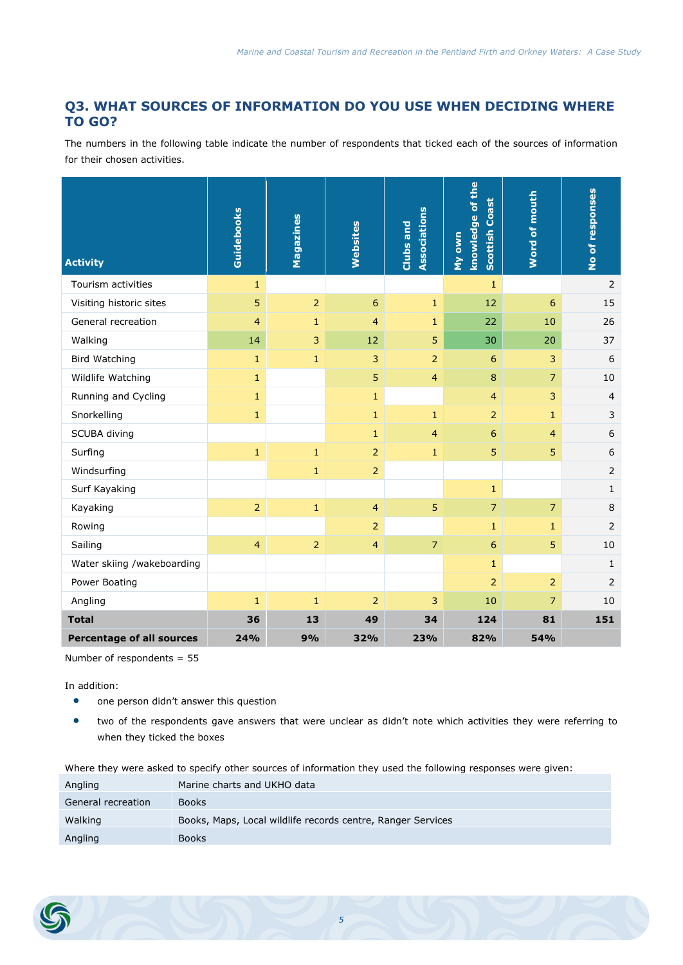# **Q3. WHAT SOURCES OF INFORMATION DO YOU USE WHEN DECIDING WHERE TO GO?**

The numbers in the following table indicate the number of respondents that ticked each of the sources of information for their chosen activities.

| <b>Activity</b>                  | Guidebooks     | Magazines      | Websites         | <b>Associations</b><br>Clubs and | knowledge of the<br><b>Scottish Coast</b><br>My own | Word of mouth  | No of responses |
|----------------------------------|----------------|----------------|------------------|----------------------------------|-----------------------------------------------------|----------------|-----------------|
| Tourism activities               | $\mathbf{1}$   |                |                  |                                  | $\mathbf{1}$                                        |                | 2               |
| Visiting historic sites          | 5              | $\overline{2}$ | $\boldsymbol{6}$ | $\mathbf{1}$                     | 12                                                  | 6              | 15              |
| General recreation               | 4              | $\mathbf{1}$   | $\overline{4}$   | $\mathbf{1}$                     | 22                                                  | 10             | 26              |
| Walking                          | 14             | 3              | 12               | 5                                | 30                                                  | 20             | 37              |
| <b>Bird Watching</b>             | $\mathbf{1}$   | $1\,$          | 3                | $\overline{2}$                   | 6                                                   | 3              | 6               |
| Wildlife Watching                | $\mathbf{1}$   |                | 5                | $\overline{4}$                   | 8                                                   | $\overline{7}$ | 10              |
| Running and Cycling              | $\mathbf{1}$   |                | $\mathbf{1}$     |                                  | $\overline{4}$                                      | 3              | $\overline{4}$  |
| Snorkelling                      | $\mathbf{1}$   |                | $\mathbf{1}$     | $\mathbf 1$                      | $\overline{2}$                                      | $\mathbf{1}$   | 3               |
| SCUBA diving                     |                |                | $\mathbf{1}$     | $\overline{4}$                   | 6                                                   | $\overline{4}$ | 6               |
| Surfing                          | $\mathbf{1}$   | $\mathbf 1$    | $\overline{2}$   | $\mathbf{1}$                     | 5                                                   | 5              | 6               |
| Windsurfing                      |                | $1\,$          | $\overline{2}$   |                                  |                                                     |                | 2               |
| Surf Kayaking                    |                |                |                  |                                  | $\mathbf{1}$                                        |                | $\mathbf{1}$    |
| Kayaking                         | $\overline{2}$ | $\mathbf{1}$   | $\overline{4}$   | 5                                | $\overline{7}$                                      | $\overline{7}$ | 8               |
| Rowing                           |                |                | $\overline{2}$   |                                  | $\mathbf{1}$                                        | $\mathbf{1}$   | $\overline{2}$  |
| Sailing                          | $\overline{4}$ | $\overline{2}$ | $\overline{4}$   | $\overline{7}$                   | 6                                                   | 5              | 10              |
| Water skiing /wakeboarding       |                |                |                  |                                  | $\mathbf{1}$                                        |                | $\mathbf{1}$    |
| Power Boating                    |                |                |                  |                                  | $\overline{2}$                                      | $\overline{2}$ | $\overline{2}$  |
| Angling                          | $\mathbf{1}$   | $\mathbf{1}$   | $\overline{2}$   | 3                                | 10                                                  | $\overline{7}$ | 10              |
| <b>Total</b>                     | 36             | 13             | 49               | 34                               | 124                                                 | 81             | 151             |
| <b>Percentage of all sources</b> | 24%            | 9%             | 32%              | 23%                              | 82%                                                 | 54%            |                 |

Number of respondents = 55

In addition:

- **•** one person didn't answer this question
- two of the respondents gave answers that were unclear as didn't note which activities they were referring to when they ticked the boxes

Where they were asked to specify other sources of information they used the following responses were given:

| Angling            | Marine charts and UKHO data                                 |
|--------------------|-------------------------------------------------------------|
| General recreation | <b>Books</b>                                                |
| Walking            | Books, Maps, Local wildlife records centre, Ranger Services |
| Angling            | <b>Books</b>                                                |

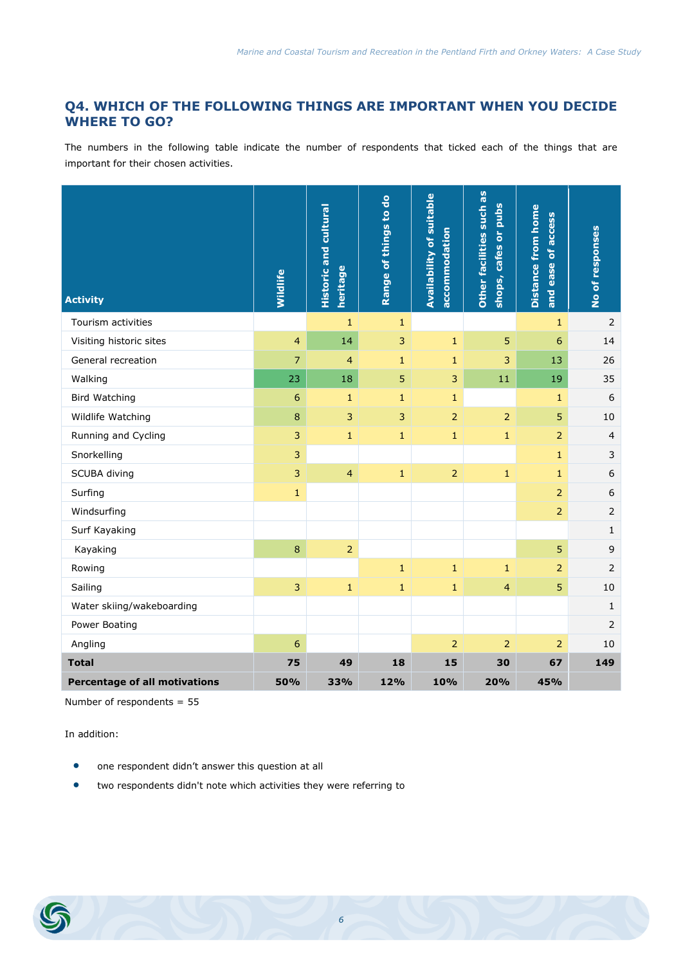# **Q4. WHICH OF THE FOLLOWING THINGS ARE IMPORTANT WHEN YOU DECIDE WHERE TO GO?**

The numbers in the following table indicate the number of respondents that ticked each of the things that are important for their chosen activities.

| <b>Activity</b>                      | <b>Wildlife</b> | <b>Historic and cultural</b><br>heritage | Range of things to do | <b>Availability of suitable</b><br>accommodation | Other facilities such as<br><b>Pubs</b><br>$\overleftarrow{\mathbf{o}}$<br>cafes<br>shops, | <b>Distance from home</b><br>and ease of access | No of responses |
|--------------------------------------|-----------------|------------------------------------------|-----------------------|--------------------------------------------------|--------------------------------------------------------------------------------------------|-------------------------------------------------|-----------------|
| Tourism activities                   |                 | $\mathbf{1}$                             | $\mathbf{1}$          |                                                  |                                                                                            | $\mathbf{1}$                                    | $\overline{2}$  |
| Visiting historic sites              | $\overline{4}$  | 14                                       | 3                     | $\mathbf 1$                                      | 5                                                                                          | 6                                               | 14              |
| General recreation                   | $\overline{7}$  | $\overline{4}$                           | $\mathbf{1}$          | $\mathbf{1}$                                     | 3                                                                                          | 13                                              | 26              |
| Walking                              | 23              | 18                                       | 5                     | 3                                                | 11                                                                                         | 19                                              | 35              |
| <b>Bird Watching</b>                 | 6               | $\mathbf{1}$                             | $\mathbf{1}$          | $\mathbf{1}$                                     |                                                                                            | $\mathbf{1}$                                    | 6               |
| Wildlife Watching                    | $\bf 8$         | 3                                        | 3                     | $\overline{2}$                                   | $\overline{2}$                                                                             | 5                                               | 10              |
| Running and Cycling                  | 3               | $\mathbf{1}$                             | $\mathbf{1}$          | $\mathbf{1}$                                     | $\mathbf{1}$                                                                               | $\overline{2}$                                  | $\overline{4}$  |
| Snorkelling                          | $\overline{3}$  |                                          |                       |                                                  |                                                                                            | $1\,$                                           | 3               |
| SCUBA diving                         | 3               | $\overline{4}$                           | $\mathbf{1}$          | $\overline{2}$                                   | $\mathbf{1}$                                                                               | $\mathbf{1}$                                    | 6               |
| Surfing                              | $\mathbf{1}$    |                                          |                       |                                                  |                                                                                            | $\overline{2}$                                  | 6               |
| Windsurfing                          |                 |                                          |                       |                                                  |                                                                                            | $\overline{2}$                                  | $\overline{2}$  |
| Surf Kayaking                        |                 |                                          |                       |                                                  |                                                                                            |                                                 | $1\,$           |
| Kayaking                             | 8               | $\overline{2}$                           |                       |                                                  |                                                                                            | 5                                               | 9               |
| Rowing                               |                 |                                          | $\mathbf{1}$          | $\mathbf{1}$                                     | $\mathbf{1}$                                                                               | $\overline{2}$                                  | $\overline{2}$  |
| Sailing                              | $\overline{3}$  | $\mathbf 1$                              | $\mathbf{1}$          | $\mathbf{1}$                                     | $\overline{4}$                                                                             | 5                                               | 10              |
| Water skiing/wakeboarding            |                 |                                          |                       |                                                  |                                                                                            |                                                 | $\mathbf{1}$    |
| Power Boating                        |                 |                                          |                       |                                                  |                                                                                            |                                                 | $\overline{2}$  |
| Angling                              | 6               |                                          |                       | $\overline{2}$                                   | $\overline{2}$                                                                             | $\overline{2}$                                  | 10              |
| <b>Total</b>                         | 75              | 49                                       | 18                    | 15                                               | 30                                                                                         | 67                                              | 149             |
| <b>Percentage of all motivations</b> | 50%             | 33%                                      | 12%                   | 10%                                              | 20%                                                                                        | 45%                                             |                 |

Number of respondents = 55

- one respondent didn't answer this question at all
- two respondents didn't note which activities they were referring to

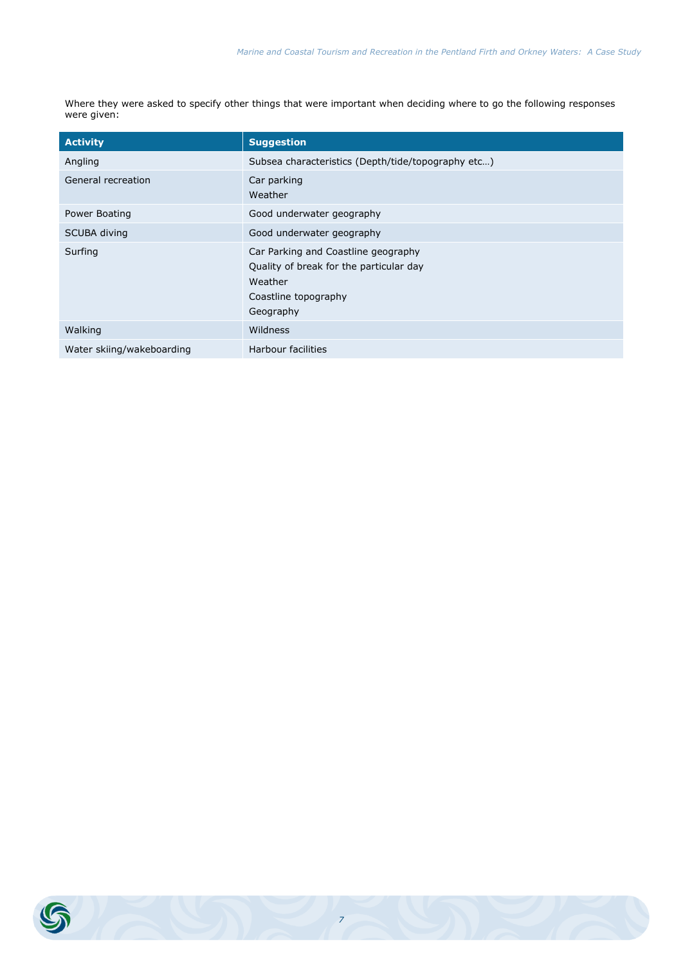Where they were asked to specify other things that were important when deciding where to go the following responses were given:

| <b>Activity</b>           | <b>Suggestion</b>                                                                                                              |
|---------------------------|--------------------------------------------------------------------------------------------------------------------------------|
| Angling                   | Subsea characteristics (Depth/tide/topography etc)                                                                             |
| General recreation        | Car parking<br>Weather                                                                                                         |
| Power Boating             | Good underwater geography                                                                                                      |
| SCUBA diving              | Good underwater geography                                                                                                      |
| Surfing                   | Car Parking and Coastline geography<br>Quality of break for the particular day<br>Weather<br>Coastline topography<br>Geography |
| Walking                   | Wildness                                                                                                                       |
| Water skiing/wakeboarding | <b>Harbour facilities</b>                                                                                                      |

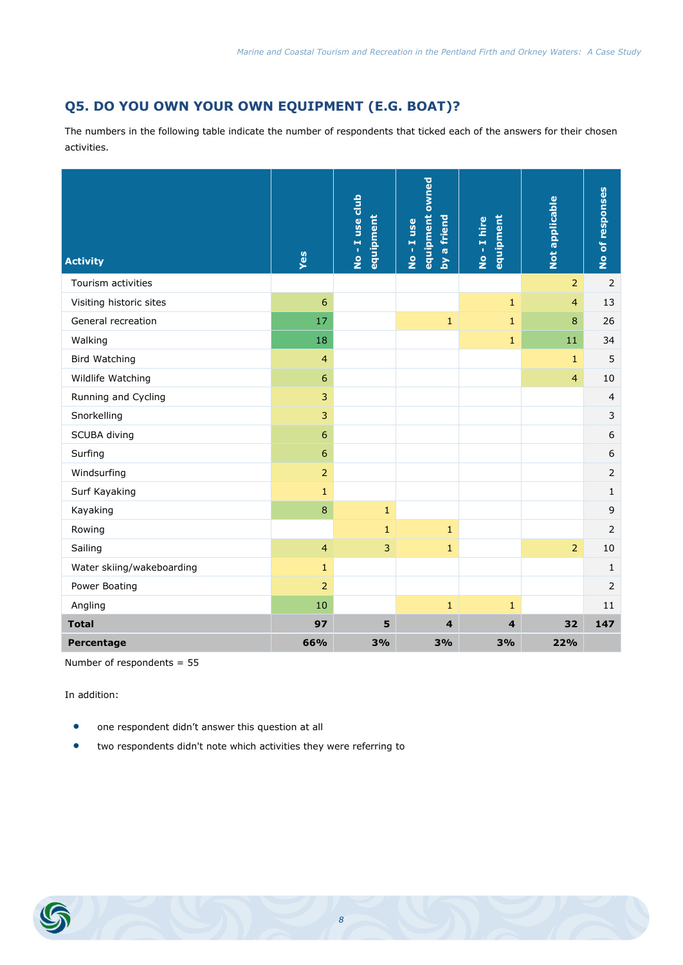# **Q5. DO YOU OWN YOUR OWN EQUIPMENT (E.G. BOAT)?**

The numbers in the following table indicate the number of respondents that ticked each of the answers for their chosen activities.

| <b>Activity</b>           | Yes              | No - I use club<br>equipment | equipment owned<br>a friend<br>No-Iuse<br>$\mathbf{\Sigma}$ | equipment<br>No-Ihire | Not applicable | No of responses  |
|---------------------------|------------------|------------------------------|-------------------------------------------------------------|-----------------------|----------------|------------------|
| Tourism activities        |                  |                              |                                                             |                       | $\overline{2}$ | 2                |
| Visiting historic sites   | 6                |                              |                                                             | $1\,$                 | $\overline{4}$ | 13               |
| General recreation        | 17               |                              | $\mathbf{1}$                                                | $\mathbf{1}$          | 8              | 26               |
| Walking                   | 18               |                              |                                                             | $\mathbf{1}$          | 11             | 34               |
| <b>Bird Watching</b>      | $\overline{4}$   |                              |                                                             |                       | $\mathbf{1}$   | 5                |
| Wildlife Watching         | 6                |                              |                                                             |                       | $\overline{4}$ | 10               |
| Running and Cycling       | 3                |                              |                                                             |                       |                | $\overline{4}$   |
| Snorkelling               | 3                |                              |                                                             |                       |                | $\mathsf{3}$     |
| SCUBA diving              | $\boldsymbol{6}$ |                              |                                                             |                       |                | $\boldsymbol{6}$ |
| Surfing                   | 6                |                              |                                                             |                       |                | $\boldsymbol{6}$ |
| Windsurfing               | $\overline{2}$   |                              |                                                             |                       |                | $\overline{2}$   |
| Surf Kayaking             | $\mathbf{1}$     |                              |                                                             |                       |                | $\mathbf{1}$     |
| Kayaking                  | 8                | $\mathbf{1}$                 |                                                             |                       |                | $\mathsf 9$      |
| Rowing                    |                  | $1\,$                        | $1\,$                                                       |                       |                | $\overline{2}$   |
| Sailing                   | $\overline{4}$   | 3                            | $\mathbf{1}$                                                |                       | $\overline{2}$ | 10               |
| Water skiing/wakeboarding | $\mathbf{1}$     |                              |                                                             |                       |                | $\mathbf{1}$     |
| Power Boating             | $\overline{2}$   |                              |                                                             |                       |                | $\overline{2}$   |
| Angling                   | 10               |                              | 1                                                           | $\mathbf{1}$          |                | 11               |
| <b>Total</b>              | 97               | 5                            | $\overline{4}$                                              | $\overline{4}$        | 32             | 147              |
| Percentage                | 66%              | 3%                           | 3%                                                          | 3%                    | 22%            |                  |

Number of respondents = 55

- one respondent didn't answer this question at all
- two respondents didn't note which activities they were referring to

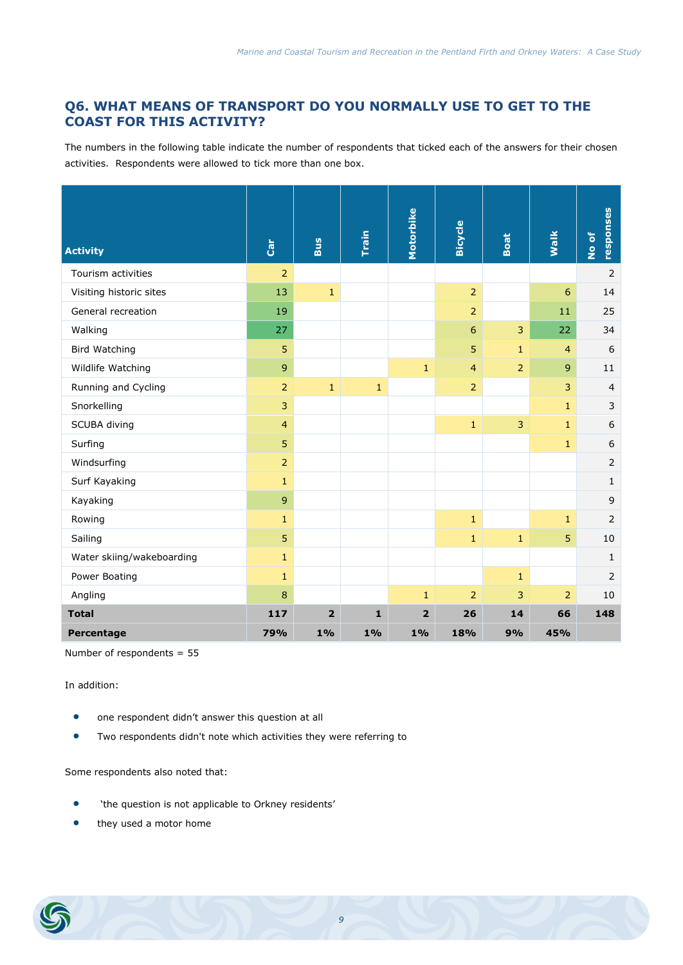# **Q6. WHAT MEANS OF TRANSPORT DO YOU NORMALLY USE TO GET TO THE COAST FOR THIS ACTIVITY?**

The numbers in the following table indicate the number of respondents that ticked each of the answers for their chosen activities. Respondents were allowed to tick more than one box.

| <b>Activity</b>           | $\tilde{\mathbf{c}}$ | Bus            | Train        | Motorbike      | <b>Bicycle</b>  | <b>Boat</b>    | Walk           | responses<br>No of |
|---------------------------|----------------------|----------------|--------------|----------------|-----------------|----------------|----------------|--------------------|
| Tourism activities        | 2                    |                |              |                |                 |                |                | $\overline{2}$     |
| Visiting historic sites   | 13                   | $\mathbf{1}$   |              |                | $\overline{2}$  |                | 6              | 14                 |
| General recreation        | 19                   |                |              |                | $\overline{2}$  |                | 11             | 25                 |
| Walking                   | 27                   |                |              |                | $6\phantom{1}6$ | 3              | 22             | 34                 |
| <b>Bird Watching</b>      | 5                    |                |              |                | 5               | $\mathbf{1}$   | $\overline{4}$ | 6                  |
| Wildlife Watching         | $\overline{9}$       |                |              | $\mathbf{1}$   | $\overline{4}$  | $\overline{2}$ | 9              | 11                 |
| Running and Cycling       | 2                    | $\mathbf{1}$   | $\mathbf{1}$ |                | $\overline{2}$  |                | 3              | $\overline{4}$     |
| Snorkelling               | $\overline{3}$       |                |              |                |                 |                | $\mathbf{1}$   | 3                  |
| SCUBA diving              | $\overline{4}$       |                |              |                | $\mathbf{1}$    | 3              | $\mathbf{1}$   | 6                  |
| Surfing                   | 5                    |                |              |                |                 |                | $\mathbf{1}$   | $\boldsymbol{6}$   |
| Windsurfing               | $\overline{2}$       |                |              |                |                 |                |                | $\overline{2}$     |
| Surf Kayaking             | $\mathbf{1}$         |                |              |                |                 |                |                | $\mathbf{1}$       |
| Kayaking                  | $\overline{9}$       |                |              |                |                 |                |                | 9                  |
| Rowing                    | $\mathbf{1}$         |                |              |                | $\mathbf{1}$    |                | $\mathbf{1}$   | $\overline{2}$     |
| Sailing                   | 5                    |                |              |                | $\mathbf{1}$    | $\mathbf 1$    | 5              | 10                 |
| Water skiing/wakeboarding | $\mathbf{1}$         |                |              |                |                 |                |                | $\mathbf{1}$       |
| Power Boating             | $1\,$                |                |              |                |                 | $\mathbf{1}$   |                | 2                  |
| Angling                   | 8                    |                |              | $\mathbf{1}$   | $\overline{2}$  | 3              | $\overline{2}$ | 10                 |
| <b>Total</b>              | 117                  | $\overline{2}$ | 1            | $\overline{2}$ | 26              | 14             | 66             | 148                |
| Percentage                | 79%                  | $1\%$          | 1%           | $1\%$          | 18%             | 9%             | 45%            |                    |

Number of respondents = 55

In addition:

- one respondent didn't answer this question at all
- Two respondents didn't note which activities they were referring to

Some respondents also noted that:

- 'the question is not applicable to Orkney residents'
- they used a motor home

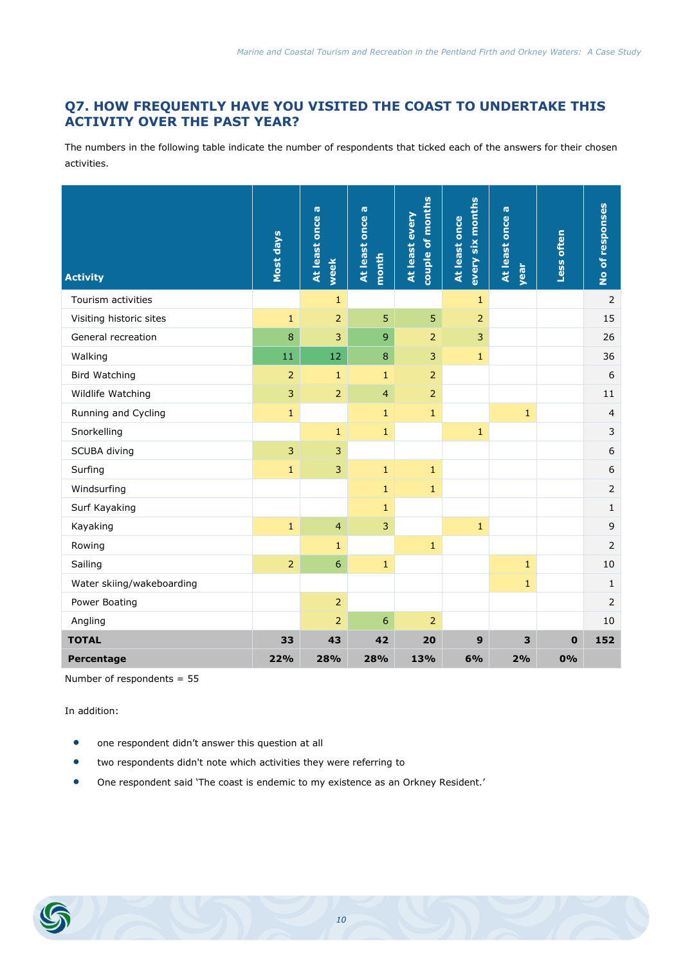# **Q7. HOW FREQUENTLY HAVE YOU VISITED THE COAST TO UNDERTAKE THIS ACTIVITY OVER THE PAST YEAR?**

The numbers in the following table indicate the number of respondents that ticked each of the answers for their chosen activities.

| <b>Activity</b>           | Most days      | At least once a<br>week | At least once a<br>month | couple of months<br>At least every | every six months<br>At least once | At least once a<br>year | Less often  | No of responses  |
|---------------------------|----------------|-------------------------|--------------------------|------------------------------------|-----------------------------------|-------------------------|-------------|------------------|
| Tourism activities        |                | $\mathbf{1}$            |                          |                                    | 1                                 |                         |             | $\overline{2}$   |
| Visiting historic sites   | $\mathbf{1}$   | 2                       | 5                        | $\overline{5}$                     | $\overline{2}$                    |                         |             | 15               |
| General recreation        | 8              | 3                       | 9                        | $\overline{2}$                     | 3                                 |                         |             | 26               |
| Walking                   | 11             | 12                      | 8                        | $\overline{3}$                     | $\mathbf{1}$                      |                         |             | 36               |
| <b>Bird Watching</b>      | $\overline{2}$ | $\mathbf{1}$            | $\mathbf{1}$             | $\overline{2}$                     |                                   |                         |             | 6                |
| Wildlife Watching         | 3              | $\overline{2}$          | $\overline{4}$           | 2                                  |                                   |                         |             | 11               |
| Running and Cycling       | $1\,$          |                         | $\mathbf{1}$             | $\mathbf{1}$                       |                                   | $\mathbf 1$             |             | $\overline{4}$   |
| Snorkelling               |                | $\mathbf{1}$            | $\mathbf{1}$             |                                    | $\mathbf{1}$                      |                         |             | 3                |
| SCUBA diving              | 3              | 3                       |                          |                                    |                                   |                         |             | $\sqrt{6}$       |
| Surfing                   | $\mathbf{1}$   | 3                       | $\mathbf{1}$             | $\mathbf{1}$                       |                                   |                         |             | $\boldsymbol{6}$ |
| Windsurfing               |                |                         | $\mathbf{1}$             | $\mathbf{1}$                       |                                   |                         |             | $\overline{2}$   |
| Surf Kayaking             |                |                         | $\mathbf{1}$             |                                    |                                   |                         |             | $1\,$            |
| Kayaking                  | $\mathbf{1}$   | $\overline{4}$          | 3                        |                                    | $\mathbf{1}$                      |                         |             | 9                |
| Rowing                    |                | $\mathbf{1}$            |                          | $\mathbf{1}$                       |                                   |                         |             | $\overline{2}$   |
| Sailing                   | $\overline{2}$ | 6                       | $\mathbf{1}$             |                                    |                                   | $\mathbf{1}$            |             | 10               |
| Water skiing/wakeboarding |                |                         |                          |                                    |                                   | $\mathbf{1}$            |             | $\mathbf{1}$     |
| Power Boating             |                | $\overline{2}$          |                          |                                    |                                   |                         |             | 2                |
| Angling                   |                | $\overline{2}$          | 6                        | $\overline{2}$                     |                                   |                         |             | 10               |
| <b>TOTAL</b>              | 33             | 43                      | 42                       | 20                                 | 9                                 | 3                       | $\mathbf 0$ | 152              |
| Percentage                | 22%            | 28%                     | 28%                      | 13%                                | 6%                                | 2%                      | 0%          |                  |

Number of respondents = 55

- one respondent didn't answer this question at all
- two respondents didn't note which activities they were referring to
- One respondent <sup>s</sup>aid 'The coast is endemic to my existence as an Orkney Resident.'

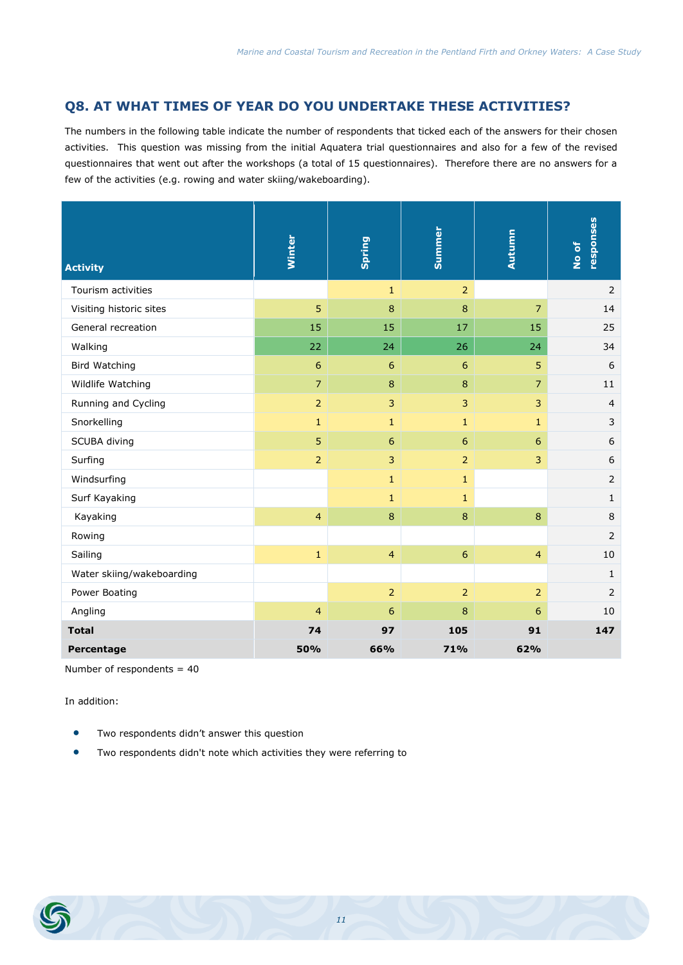#### **Q8. AT WHAT TIMES OF YEAR DO YOU UNDERTAKE THESE ACTIVITIES?**

The numbers in the following table indicate the number of respondents that ticked each of the answers for their chosen activities. This question was missing from the initial Aquatera trial questionnaires and also for a few of the revised questionnaires that went out after the workshops (a total of 15 questionnaires). Therefore there are no answers for a few of the activities (e.g. rowing and water skiing/wakeboarding).

| <b>Activity</b>           | Winter         | <b>Spring</b>  | Summer         | Autumn          | responses<br>No of |
|---------------------------|----------------|----------------|----------------|-----------------|--------------------|
| Tourism activities        |                | $\mathbf{1}$   | $\overline{2}$ |                 | $\overline{2}$     |
| Visiting historic sites   | 5              | 8              | $\bf 8$        | $\overline{7}$  | 14                 |
| General recreation        | 15             | 15             | 17             | 15              | 25                 |
| Walking                   | 22             | 24             | 26             | 24              | 34                 |
| <b>Bird Watching</b>      | 6              | 6              | $\sqrt{6}$     | 5               | 6                  |
| Wildlife Watching         | $\overline{7}$ | $\bf 8$        | $\bf 8$        | $\overline{7}$  | 11                 |
| Running and Cycling       | $\overline{2}$ | 3              | 3              | 3               | $\overline{4}$     |
| Snorkelling               | $\mathbf{1}$   | $1\,$          | $1\,$          | $\mathbf{1}$    | $\mathsf{3}$       |
| SCUBA diving              | 5              | $6\phantom{a}$ | $6\phantom{a}$ | $6\phantom{1}6$ | $\boldsymbol{6}$   |
| Surfing                   | $\overline{2}$ | $\overline{3}$ | $\overline{2}$ | 3               | 6                  |
| Windsurfing               |                | $1\,$          | $\mathbf{1}$   |                 | $\overline{2}$     |
| Surf Kayaking             |                | $\mathbf{1}$   | $\mathbf{1}$   |                 | $\mathbf{1}$       |
| Kayaking                  | 4              | $\bf 8$        | $\bf 8$        | $\bf 8$         | $\,8\,$            |
| Rowing                    |                |                |                |                 | 2                  |
| Sailing                   | $\mathbf 1$    | $\overline{4}$ | $6\phantom{a}$ | $\overline{4}$  | 10                 |
| Water skiing/wakeboarding |                |                |                |                 | $\mathbf{1}$       |
| Power Boating             |                | $\overline{2}$ | 2              | 2               | 2                  |
| Angling                   | $\overline{4}$ | 6              | $\bf 8$        | 6               | 10                 |
| <b>Total</b>              | 74             | 97             | 105            | 91              | 147                |
| Percentage                | 50%            | 66%            | 71%            | 62%             |                    |

Number of respondents  $= 40$ 

- Two respondents didn't answer this question
- Two respondents didn't note which activities they were referring to

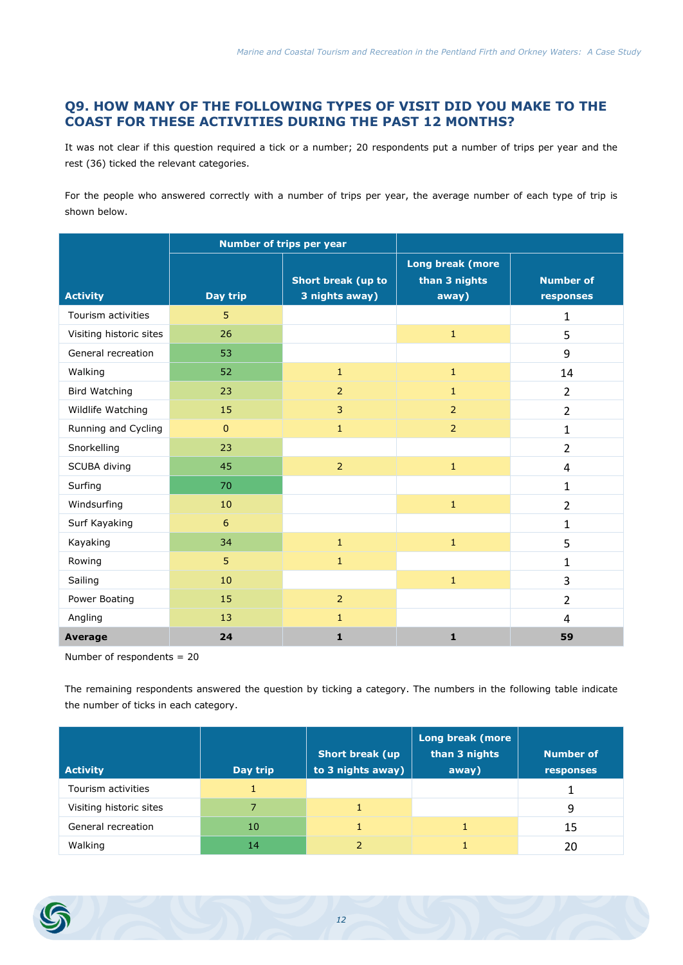# **Q9. HOW MANY OF THE FOLLOWING TYPES OF VISIT DID YOU MAKE TO THE COAST FOR THESE ACTIVITIES DURING THE PAST 12 MONTHS?**

It was not clear if this question required a tick or a number; 20 respondents put a number of trips per year and the rest (36) ticked the relevant categories.

For the people who answered correctly with a number of trips per year, the average number of each type of trip is shown below.

|                         |              | Number of trips per year             |                                            |                               |
|-------------------------|--------------|--------------------------------------|--------------------------------------------|-------------------------------|
| <b>Activity</b>         | Day trip     | Short break (up to<br>3 nights away) | Long break (more<br>than 3 nights<br>away) | <b>Number of</b><br>responses |
| Tourism activities      | 5            |                                      |                                            | 1                             |
| Visiting historic sites | 26           |                                      | $\mathbf 1$                                | 5                             |
| General recreation      | 53           |                                      |                                            | 9                             |
| Walking                 | 52           | $\mathbf{1}$                         | $\mathbf{1}$                               | 14                            |
| <b>Bird Watching</b>    | 23           | $\overline{2}$                       | $\mathbf{1}$                               | $\overline{2}$                |
| Wildlife Watching       | 15           | 3                                    | $\overline{2}$                             | $\overline{2}$                |
| Running and Cycling     | $\mathbf{0}$ | $\mathbf{1}$                         | $\overline{2}$                             | 1                             |
| Snorkelling             | 23           |                                      |                                            | $\overline{2}$                |
| SCUBA diving            | 45           | $\overline{2}$                       | $\mathbf{1}$                               | 4                             |
| Surfing                 | 70           |                                      |                                            | $\mathbf{1}$                  |
| Windsurfing             | 10           |                                      | $\mathbf{1}$                               | $\overline{2}$                |
| Surf Kayaking           | 6            |                                      |                                            | $\mathbf{1}$                  |
| Kayaking                | 34           | $\mathbf{1}$                         | $\mathbf{1}$                               | 5                             |
| Rowing                  | 5            | $\mathbf{1}$                         |                                            | $\mathbf{1}$                  |
| Sailing                 | 10           |                                      | $\mathbf{1}$                               | 3                             |
| Power Boating           | 15           | $\overline{2}$                       |                                            | $\overline{2}$                |
| Angling                 | 13           | $\mathbf{1}$                         |                                            | 4                             |
| <b>Average</b>          | 24           | $\mathbf{1}$                         | $\mathbf{1}$                               | 59                            |

Number of respondents = 20

The remaining respondents answered the question by ticking a category. The numbers in the following table indicate the number of ticks in each category.

| <b>Activity</b>         | Day trip | <b>Short break (up</b><br>to 3 nights away) | Long break (more<br>than 3 nights<br>away) | <b>Number of</b><br><b>responses</b> |
|-------------------------|----------|---------------------------------------------|--------------------------------------------|--------------------------------------|
| Tourism activities      |          |                                             |                                            |                                      |
| Visiting historic sites |          |                                             |                                            | 9                                    |
| General recreation      | 10       |                                             |                                            | 15                                   |
| Walking                 | 14       |                                             |                                            | 20                                   |

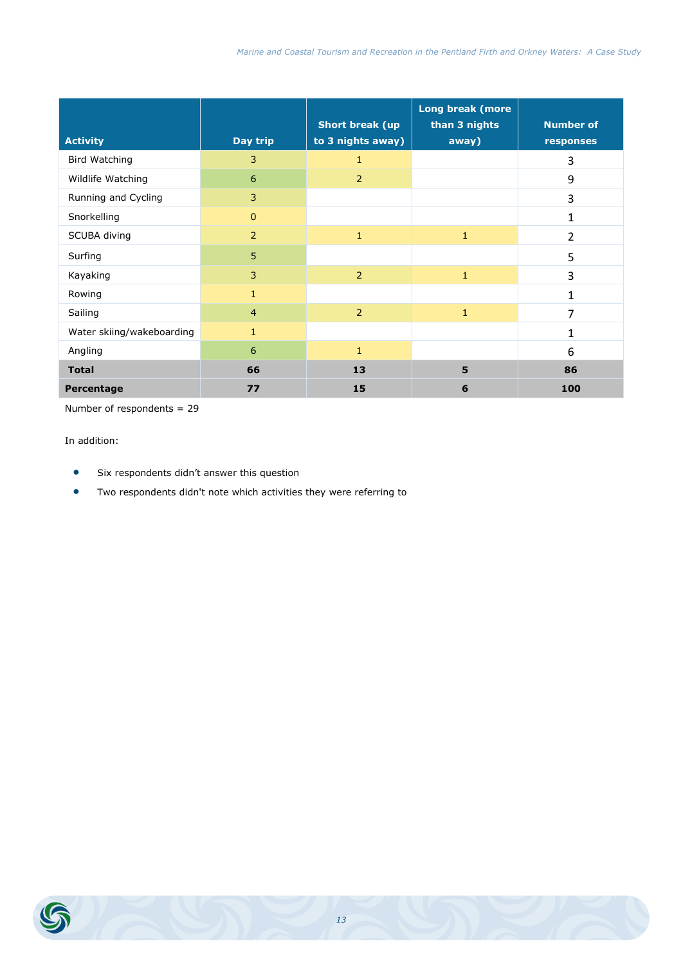| <b>Activity</b>           | Day trip       | <b>Short break (up</b><br>to 3 nights away) | Long break (more<br>than 3 nights<br>away) | <b>Number of</b><br>responses |
|---------------------------|----------------|---------------------------------------------|--------------------------------------------|-------------------------------|
| Bird Watching             | 3              | $\mathbf{1}$                                |                                            | 3                             |
| Wildlife Watching         | 6              | 2                                           |                                            | 9                             |
| Running and Cycling       | $\overline{3}$ |                                             |                                            | 3                             |
| Snorkelling               | $\mathbf{0}$   |                                             |                                            | 1                             |
| SCUBA diving              | 2              | $\mathbf{1}$                                | $\mathbf{1}$                               | $\overline{2}$                |
| Surfing                   | 5              |                                             |                                            | 5                             |
| Kayaking                  | $\overline{3}$ | $\overline{2}$                              | $\mathbf{1}$                               | 3                             |
| Rowing                    | $\mathbf{1}$   |                                             |                                            | 1                             |
| Sailing                   | $\overline{4}$ | 2                                           | $\mathbf{1}$                               | 7                             |
| Water skiing/wakeboarding | $\mathbf{1}$   |                                             |                                            | $\mathbf{1}$                  |
| Angling                   | 6              | $\mathbf{1}$                                |                                            | 6                             |
| <b>Total</b>              | 66             | 13                                          | 5                                          | 86                            |
| Percentage                | 77             | 15                                          | 6                                          | 100                           |

Number of respondents = 29

- Six respondents didn't answer this question
- Two respondents didn't note which activities they were referring to

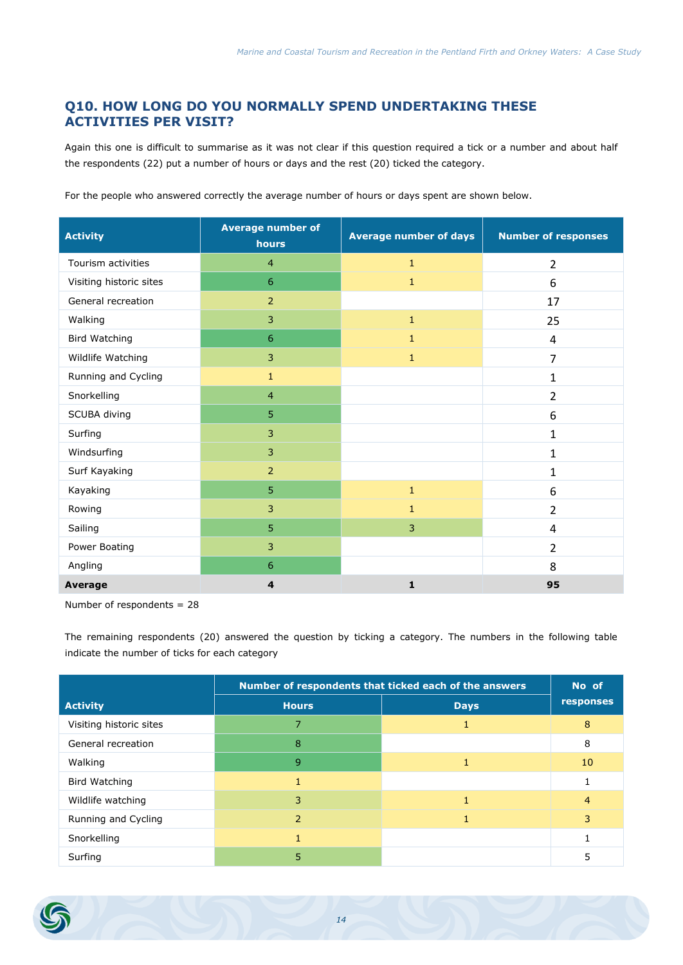# **Q10. HOW LONG DO YOU NORMALLY SPEND UNDERTAKING THESE ACTIVITIES PER VISIT?**

Again this one is difficult to summarise as it was not clear if this question required a tick or a number and about half the respondents (22) put a number of hours or days and the rest (20) ticked the category.

For the people who answered correctly the average number of hours or days spent are shown below.

| <b>Activity</b>         | <b>Average number of</b><br>hours | <b>Average number of days</b> | <b>Number of responses</b> |
|-------------------------|-----------------------------------|-------------------------------|----------------------------|
| Tourism activities      | $\overline{4}$                    | $\mathbf{1}$                  | $\overline{2}$             |
| Visiting historic sites | 6                                 | $\mathbf{1}$                  | 6                          |
| General recreation      | $\overline{2}$                    |                               | 17                         |
| Walking                 | 3                                 | $\mathbf{1}$                  | 25                         |
| Bird Watching           | 6                                 | $\mathbf{1}$                  | 4                          |
| Wildlife Watching       | 3                                 | $\mathbf{1}$                  | $\overline{7}$             |
| Running and Cycling     | $\mathbf{1}$                      |                               | 1                          |
| Snorkelling             | $\overline{4}$                    |                               | $\overline{2}$             |
| SCUBA diving            | 5                                 |                               | 6                          |
| Surfing                 | 3                                 |                               | 1                          |
| Windsurfing             | 3                                 |                               | $\mathbf{1}$               |
| Surf Kayaking           | $\overline{2}$                    |                               | $\mathbf{1}$               |
| Kayaking                | 5                                 | $\mathbf{1}$                  | 6                          |
| Rowing                  | 3                                 | $\mathbf{1}$                  | $\overline{2}$             |
| Sailing                 | 5                                 | 3                             | 4                          |
| Power Boating           | 3                                 |                               | $\overline{2}$             |
| Angling                 | 6                                 |                               | 8                          |
| <b>Average</b>          | 4                                 | $\mathbf{1}$                  | 95                         |

Number of respondents = 28

The remaining respondents (20) answered the question by ticking a category. The numbers in the following table indicate the number of ticks for each category

|                         |                | Number of respondents that ticked each of the answers | No of     |
|-------------------------|----------------|-------------------------------------------------------|-----------|
| <b>Activity</b>         | <b>Hours</b>   | <b>Days</b>                                           | responses |
| Visiting historic sites |                |                                                       | 8         |
| General recreation      | 8              |                                                       | 8         |
| Walking                 | 9              |                                                       | 10        |
| <b>Bird Watching</b>    |                |                                                       |           |
| Wildlife watching       | 3              |                                                       | 4         |
| Running and Cycling     | $\overline{2}$ |                                                       | 3         |
| Snorkelling             |                |                                                       |           |
| Surfing                 |                |                                                       |           |

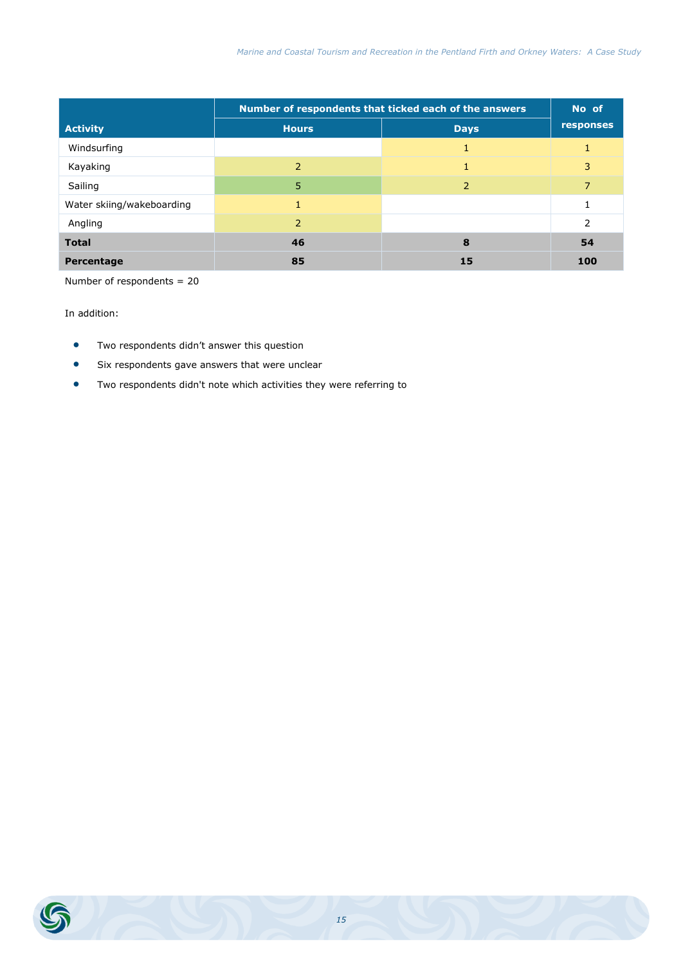|                           |                          | Number of respondents that ticked each of the answers | No of         |
|---------------------------|--------------------------|-------------------------------------------------------|---------------|
| <b>Activity</b>           | <b>Hours</b>             | <b>Days</b>                                           | responses     |
| Windsurfing               |                          |                                                       |               |
| Kayaking                  | $\overline{\phantom{a}}$ |                                                       | 3             |
| Sailing                   | 5                        | 2                                                     |               |
| Water skiing/wakeboarding |                          |                                                       |               |
| Angling                   | $\mathcal{P}$            |                                                       | $\mathcal{P}$ |
| <b>Total</b>              | 46                       | 8                                                     | 54            |
| Percentage                | 85                       | 15                                                    | 100           |

Number of respondents = 20

- Two respondents didn't answer this question
- Six respondents gave answers that were unclear
- Two respondents didn't note which activities they were referring to

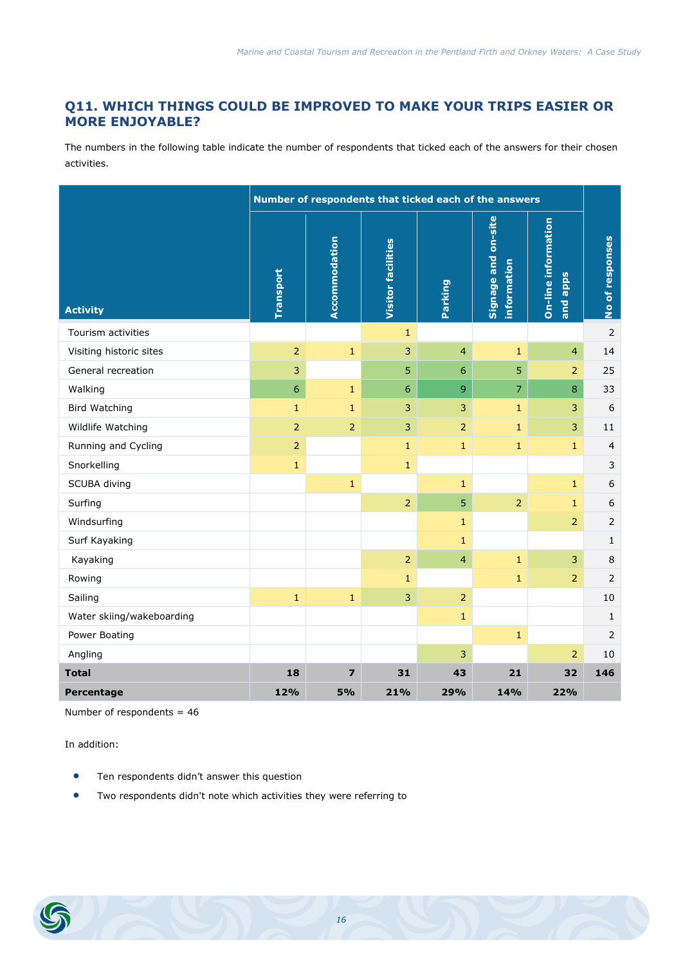# **Q11. WHICH THINGS COULD BE IMPROVED TO MAKE YOUR TRIPS EASIER OR MORE ENJOYABLE?**

The numbers in the following table indicate the number of respondents that ticked each of the answers for their chosen activities.

|                           |                | Number of respondents that ticked each of the answers |                           |                |                                    |                                 |                  |  |  |
|---------------------------|----------------|-------------------------------------------------------|---------------------------|----------------|------------------------------------|---------------------------------|------------------|--|--|
| <b>Activity</b>           | Transport      | Accommodation                                         | <b>Visitor facilities</b> | Parking        | Signage and on-site<br>information | On-line information<br>and apps | No of responses  |  |  |
| Tourism activities        |                |                                                       | $\mathbf{1}$              |                |                                    |                                 | $\overline{2}$   |  |  |
| Visiting historic sites   | $\overline{2}$ | $\mathbf 1$                                           | 3                         | $\overline{4}$ | $\mathbf{1}$                       | $\overline{4}$                  | 14               |  |  |
| General recreation        | 3              |                                                       | 5                         | $6\phantom{1}$ | 5                                  | $\overline{2}$                  | 25               |  |  |
| Walking                   | $\overline{6}$ | $\mathbf{1}$                                          | 6                         | $\overline{9}$ | $\overline{7}$                     | 8                               | 33               |  |  |
| <b>Bird Watching</b>      | $\mathbf{1}$   | $\mathbf{1}$                                          | 3                         | $\overline{3}$ | $\mathbf{1}$                       | 3                               | 6                |  |  |
| Wildlife Watching         | $\overline{2}$ | $\overline{2}$                                        | 3                         | $\overline{2}$ | $\mathbf{1}$                       | 3                               | 11               |  |  |
| Running and Cycling       | $\overline{2}$ |                                                       | $\mathbf{1}$              | $\mathbf{1}$   | $\mathbf{1}$                       | $\mathbf{1}$                    | $\overline{4}$   |  |  |
| Snorkelling               | $\mathbf{1}$   |                                                       | $\mathbf{1}$              |                |                                    |                                 | $\mathsf{3}$     |  |  |
| SCUBA diving              |                | $\mathbf{1}$                                          |                           | $\mathbf{1}$   |                                    | $\mathbf{1}$                    | $\boldsymbol{6}$ |  |  |
| Surfing                   |                |                                                       | $\overline{2}$            | $\overline{5}$ | $\overline{2}$                     | $\mathbf 1$                     | $\boldsymbol{6}$ |  |  |
| Windsurfing               |                |                                                       |                           | $\mathbf{1}$   |                                    | 2                               | $\overline{2}$   |  |  |
| Surf Kayaking             |                |                                                       |                           | $\mathbf{1}$   |                                    |                                 | $\mathbf{1}$     |  |  |
| Kayaking                  |                |                                                       | $\overline{2}$            | $\overline{4}$ | $\mathbf{1}$                       | 3                               | 8                |  |  |
| Rowing                    |                |                                                       | $\mathbf{1}$              |                | $\mathbf{1}$                       | 2                               | 2                |  |  |
| Sailing                   | $\mathbf 1$    | $\mathbf{1}$                                          | $\mathsf 3$               | $\overline{2}$ |                                    |                                 | 10               |  |  |
| Water skiing/wakeboarding |                |                                                       |                           | $\mathbf{1}$   |                                    |                                 | $\mathbf{1}$     |  |  |
| Power Boating             |                |                                                       |                           |                | $\mathbf{1}$                       |                                 | $\overline{2}$   |  |  |
| Angling                   |                |                                                       |                           | 3              |                                    | $\overline{2}$                  | 10               |  |  |
| <b>Total</b>              | 18             | $\overline{\mathbf{z}}$                               | 31                        | 43             | 21                                 | 32                              | 146              |  |  |
| Percentage                | 12%            | 5%                                                    | 21%                       | 29%            | 14%                                | 22%                             |                  |  |  |

Number of respondents = 46

- Ten respondents didn't answer this question
- Two respondents didn't note which activities they were referring to

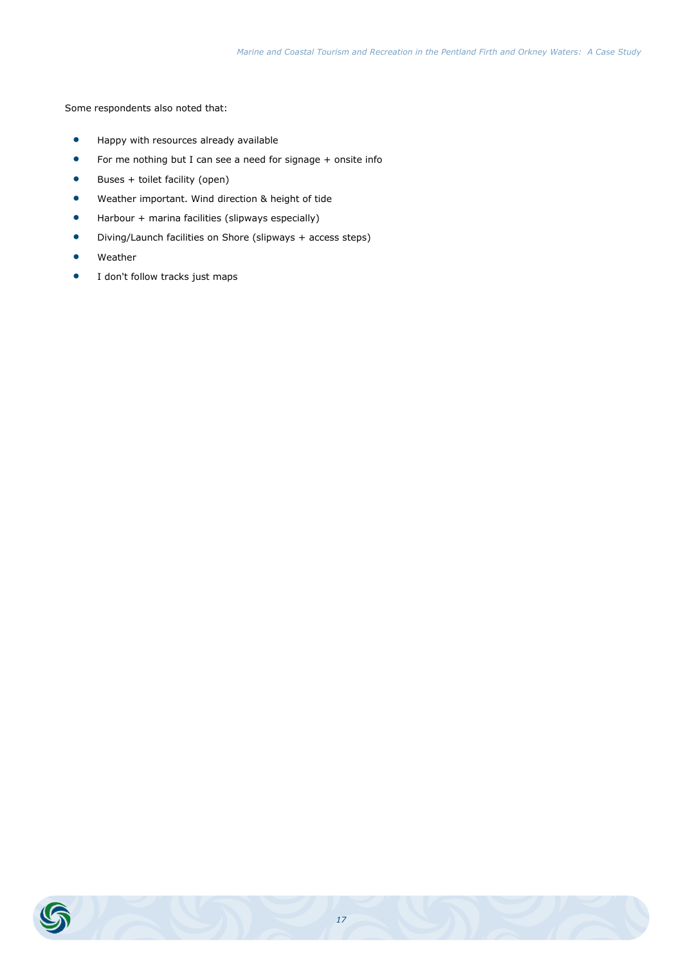Some respondents also noted that:

- Happy with resources already available
- For me nothing but I can see a need for signage + onsite info
- $\bullet$  Buses + toilet facility (open)
- Weather important. Wind direction & height of tide
- Harbour + marina facilities (slipways especially)
- Diving/Launch facilities on Shore (slipways + access steps)
- Weather
- **I** don't follow tracks just maps

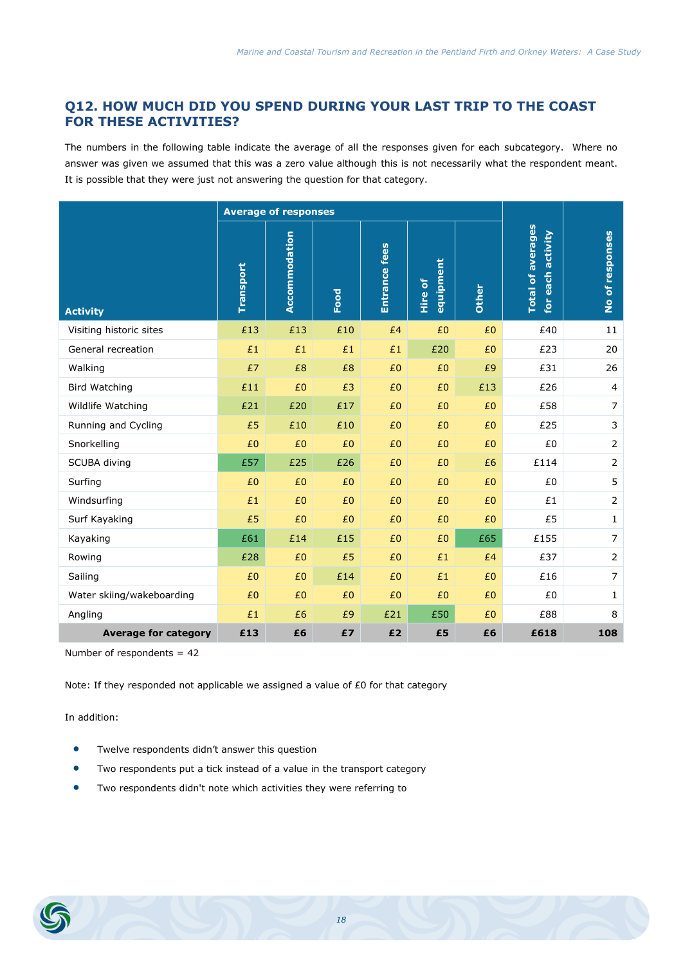# **Q12. HOW MUCH DID YOU SPEND DURING YOUR LAST TRIP TO THE COAST FOR THESE ACTIVITIES?**

The numbers in the following table indicate the average of all the responses given for each subcategory. Where no answer was given we assumed that this was a zero value although this is not necessarily what the respondent meant. It is possible that they were just not answering the question for that category.

|                             |           | <b>Average of responses</b> |      |               |                      |       |                                                     |                 |
|-----------------------------|-----------|-----------------------------|------|---------------|----------------------|-------|-----------------------------------------------------|-----------------|
| <b>Activity</b>             | Transport | Accommodation               | Food | Entrance fees | equipment<br>Hire of | Other | <b>Total of averages</b><br>activity<br>each<br>for | No of responses |
| Visiting historic sites     | £13       | £13                         | £10  | £4            | £0                   | £0    | £40                                                 | 11              |
| General recreation          | £1        | £1                          | £1   | £1            | £20                  | £0    | £23                                                 | 20              |
| Walking                     | £7        | £8                          | £8   | £0            | £0                   | £9    | £31                                                 | 26              |
| <b>Bird Watching</b>        | £11       | £0                          | £3   | £0            | £0                   | £13   | £26                                                 | $\overline{4}$  |
| Wildlife Watching           | £21       | £20                         | £17  | £0            | £0                   | £0    | £58                                                 | $\overline{7}$  |
| Running and Cycling         | £5        | £10                         | £10  | £0            | £0                   | £0    | £25                                                 | 3               |
| Snorkelling                 | £0        | £0                          | £0   | £0            | £0                   | £0    | £0                                                  | $\overline{2}$  |
| SCUBA diving                | £57       | £25                         | £26  | £0            | £0                   | £6    | £114                                                | $\mathbf 2$     |
| Surfing                     | £0        | £0                          | £0   | £0            | £0                   | £0    | £0                                                  | 5               |
| Windsurfing                 | £1        | £0                          | £0   | £0            | £0                   | £0    | £1                                                  | $\overline{2}$  |
| Surf Kayaking               | £5        | £0                          | £0   | £0            | £0                   | £0    | £5                                                  | $1\,$           |
| Kayaking                    | £61       | £14                         | £15  | £0            | £0                   | £65   | £155                                                | $\overline{7}$  |
| Rowing                      | £28       | £0                          | £5   | £0            | £1                   | £4    | £37                                                 | $\mathbf 2$     |
| Sailing                     | £0        | £0                          | £14  | £0            | £1                   | £0    | £16                                                 | $\overline{7}$  |
| Water skiing/wakeboarding   | £0        | £0                          | £0   | £0            | £0                   | £0    | £0                                                  | 1               |
| Angling                     | £1        | £6                          | £9   | £21           | £50                  | £0    | £88                                                 | 8               |
| <b>Average for category</b> | £13       | £6                          | £7   | £2            | £5                   | £6    | £618                                                | 108             |

Number of respondents = 42

Note: If they responded not applicable we assigned a value of £0 for that category

- **•** Twelve respondents didn't answer this question
- Two respondents put a tick instead of a value in the transport category
- Two respondents didn't note which activities they were referring to

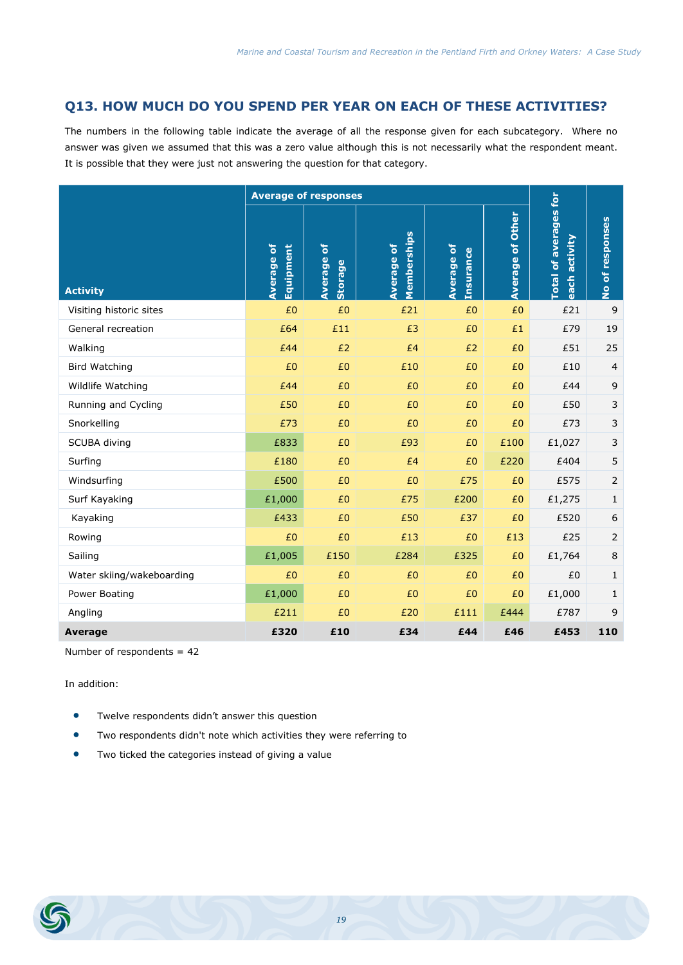#### **Q13. HOW MUCH DO YOU SPEND PER YEAR ON EACH OF THESE ACTIVITIES?**

The numbers in the following table indicate the average of all the response given for each subcategory. Where no answer was given we assumed that this was a zero value although this is not necessarily what the respondent meant. It is possible that they were just not answering the question for that category.

|                           |                         | <b>Average of responses</b>                 |                                  |                                       |                         |                                                  |                  |
|---------------------------|-------------------------|---------------------------------------------|----------------------------------|---------------------------------------|-------------------------|--------------------------------------------------|------------------|
| <b>Activity</b>           | Average of<br>Equipment | <mark>៦</mark><br>Average<br><b>Storage</b> | Memberships<br><b>Average of</b> | <b>Average of</b><br><b>Insurance</b> | <b>Average of Other</b> | <b>Total of averages for</b><br>activity<br>each | No of responses  |
| Visiting historic sites   | £0                      | £0                                          | £21                              | £0                                    | £0                      | £21                                              | 9                |
| General recreation        | £64                     | £11                                         | £3                               | £0                                    | £1                      | £79                                              | 19               |
| Walking                   | £44                     | £2                                          | £4                               | £2                                    | £0                      | £51                                              | 25               |
| <b>Bird Watching</b>      | £0                      | £0                                          | £10                              | £0                                    | £0                      | £10                                              | $\overline{4}$   |
| Wildlife Watching         | £44                     | £0                                          | £0                               | £0                                    | £0                      | £44                                              | 9                |
| Running and Cycling       | £50                     | £0                                          | £0                               | £0                                    | £0                      | £50                                              | $\mathsf 3$      |
| Snorkelling               | £73                     | £0                                          | £0                               | £0                                    | £0                      | £73                                              | 3                |
| SCUBA diving              | £833                    | £0                                          | £93                              | £0                                    | £100                    | £1,027                                           | $\mathsf 3$      |
| Surfing                   | £180                    | £0                                          | £4                               | £0                                    | £220                    | £404                                             | 5                |
| Windsurfing               | £500                    | £0                                          | £0                               | £75                                   | £0                      | £575                                             | $\overline{2}$   |
| Surf Kayaking             | £1,000                  | £0                                          | £75                              | £200                                  | £0                      | £1,275                                           | 1                |
| Kayaking                  | £433                    | £0                                          | £50                              | £37                                   | £0                      | £520                                             | $\boldsymbol{6}$ |
| Rowing                    | £0                      | £0                                          | £13                              | £0                                    | £13                     | £25                                              | $\overline{2}$   |
| Sailing                   | £1,005                  | £150                                        | £284                             | £325                                  | £0                      | £1,764                                           | 8                |
| Water skiing/wakeboarding | £0                      | £0                                          | £0                               | £0                                    | £0                      | £0                                               | $\mathbf{1}$     |
| Power Boating             | £1,000                  | £0                                          | £0                               | £0                                    | £0                      | £1,000                                           | 1                |
| Angling                   | £211                    | £0                                          | £20                              | £111                                  | £444                    | £787                                             | 9                |
| <b>Average</b>            | £320                    | £10                                         | £34                              | £44                                   | £46                     | £453                                             | 110              |

Number of respondents = 42

- Twelve respondents didn't answer this question
- Two respondents didn't note which activities they were referring to
- **•** Two ticked the categories instead of giving a value

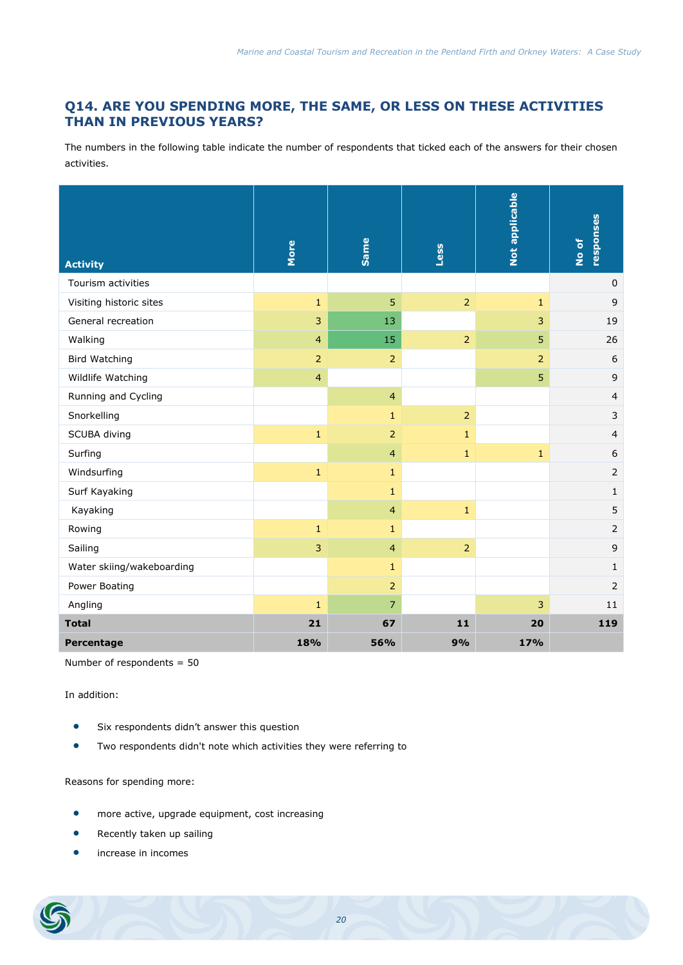# **Q14. ARE YOU SPENDING MORE, THE SAME, OR LESS ON THESE ACTIVITIES THAN IN PREVIOUS YEARS?**

The numbers in the following table indicate the number of respondents that ticked each of the answers for their chosen activities.

| <b>Activity</b>           | More           | Same           | Less           | Not applicable | responses<br>No of |
|---------------------------|----------------|----------------|----------------|----------------|--------------------|
| Tourism activities        |                |                |                |                | $\pmb{0}$          |
| Visiting historic sites   | $\mathbf 1$    | 5              | $\overline{2}$ | $\mathbf{1}$   | 9                  |
| General recreation        | $\overline{3}$ | 13             |                | 3              | 19                 |
| Walking                   | $\overline{4}$ | 15             | $\overline{2}$ | 5              | 26                 |
| <b>Bird Watching</b>      | $\overline{2}$ | $\overline{2}$ |                | $\overline{2}$ | 6                  |
| Wildlife Watching         | $\overline{4}$ |                |                | $\overline{5}$ | $\overline{9}$     |
| Running and Cycling       |                | $\overline{4}$ |                |                | $\overline{4}$     |
| Snorkelling               |                | $\mathbf{1}$   | $\overline{2}$ |                | 3                  |
| SCUBA diving              | $\mathbf{1}$   | $\overline{2}$ | $\mathbf{1}$   |                | $\overline{4}$     |
| Surfing                   |                | $\overline{4}$ | $\mathbf{1}$   | $\mathbf{1}$   | 6                  |
| Windsurfing               | $\mathbf 1$    | $\mathbf{1}$   |                |                | $\overline{2}$     |
| Surf Kayaking             |                | $\mathbf{1}$   |                |                | $1\,$              |
| Kayaking                  |                | $\overline{4}$ | $\mathbf{1}$   |                | 5                  |
| Rowing                    | $\mathbf 1$    | $\mathbf{1}$   |                |                | $\overline{2}$     |
| Sailing                   | $\overline{3}$ | $\overline{4}$ | $\overline{2}$ |                | $\mathsf 9$        |
| Water skiing/wakeboarding |                | $\mathbf{1}$   |                |                | $\mathbf{1}$       |
| Power Boating             |                | $\overline{2}$ |                |                | $\overline{2}$     |
| Angling                   | $\mathbf{1}$   | 7              |                | 3              | 11                 |
| <b>Total</b>              | 21             | 67             | 11             | 20             | 119                |
| Percentage                | 18%            | 56%            | 9%             | 17%            |                    |

Number of respondents = 50

In addition:

- Six respondents didn't answer this question
- Two respondents didn't note which activities they were referring to

Reasons for spending more:

- **•** more active, upgrade equipment, cost increasing
- Recently taken up sailing
- increase in incomes

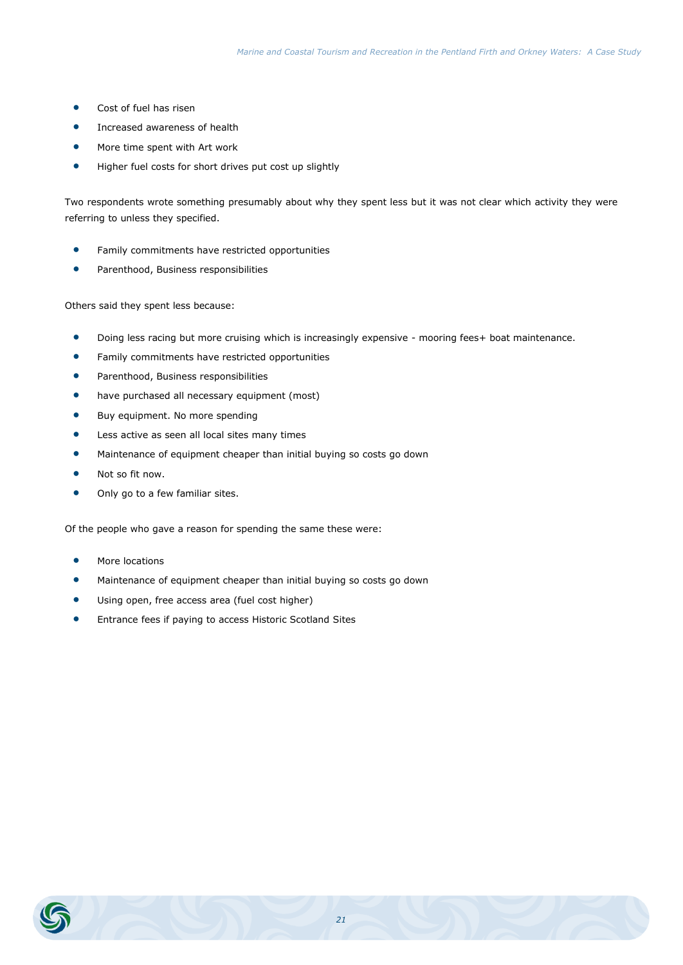- Cost of fuel has risen
- **•** Increased awareness of health
- More time spent with Art work
- Higher fuel costs for short drives put cost up slightly

Two respondents wrote something presumably about why they spent less but it was not clear which activity they were referring to unless they specified.

- **•** Family commitments have restricted opportunities
- Parenthood, Business responsibilities

#### Others said they spent less because:

- Doing less racing but more cruising which is increasingly expensive mooring fees+ boat maintenance.
- **•** Family commitments have restricted opportunities
- **•** Parenthood, Business responsibilities
- have purchased all necessary equipment (most)
- **•** Buy equipment. No more spending
- Less active as seen all local sites many times
- Maintenance of equipment cheaper than initial buying so costs go down
- Not so fit now.
- Only go to a few familiar sites.

Of the people who gave a reason for spending the same these were:

- More locations
- Maintenance of equipment cheaper than initial buying so costs go down
- Using open, free access area (fuel cost higher)
- Entrance fees if paying to access Historic Scotland Sites

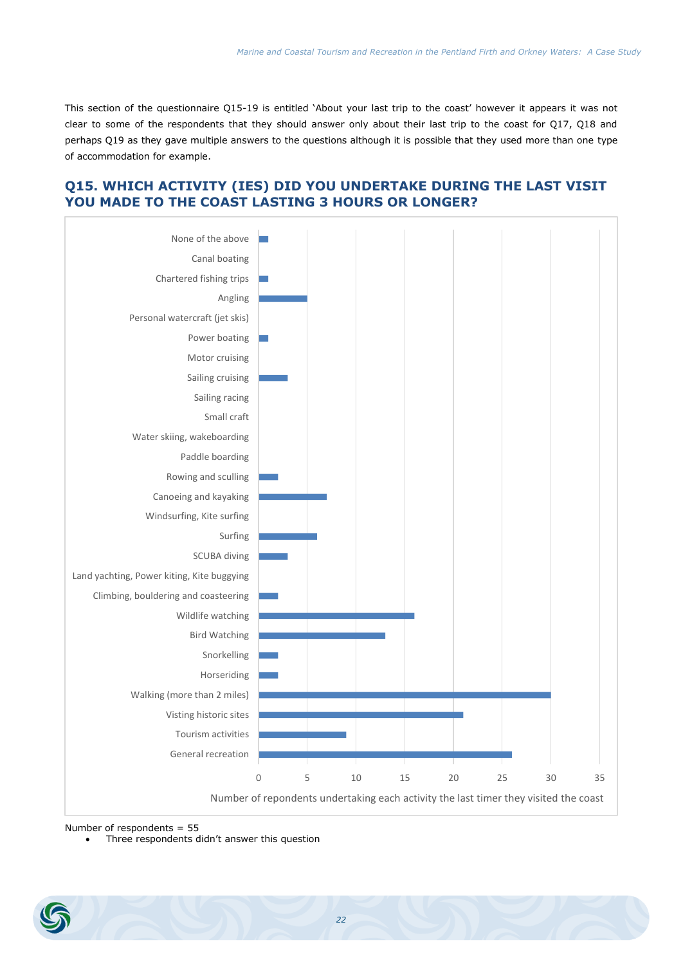This section of the questionnaire Q15-19 is entitled 'About your last trip to the coast' however it appears it was not clear to some of the respondents that they should answer only about their last trip to the coast for Q17, Q18 and perhaps Q19 as they gave multiple answers to the questions although it is possible that they used more than one type of accommodation for example.



# **Q15. WHICH ACTIVITY (IES) DID YOU UNDERTAKE DURING THE LAST VISIT YOU MADE TO THE COAST LASTING 3 HOURS OR LONGER?**

Number of respondents = 55

Three respondents didn't answer this question

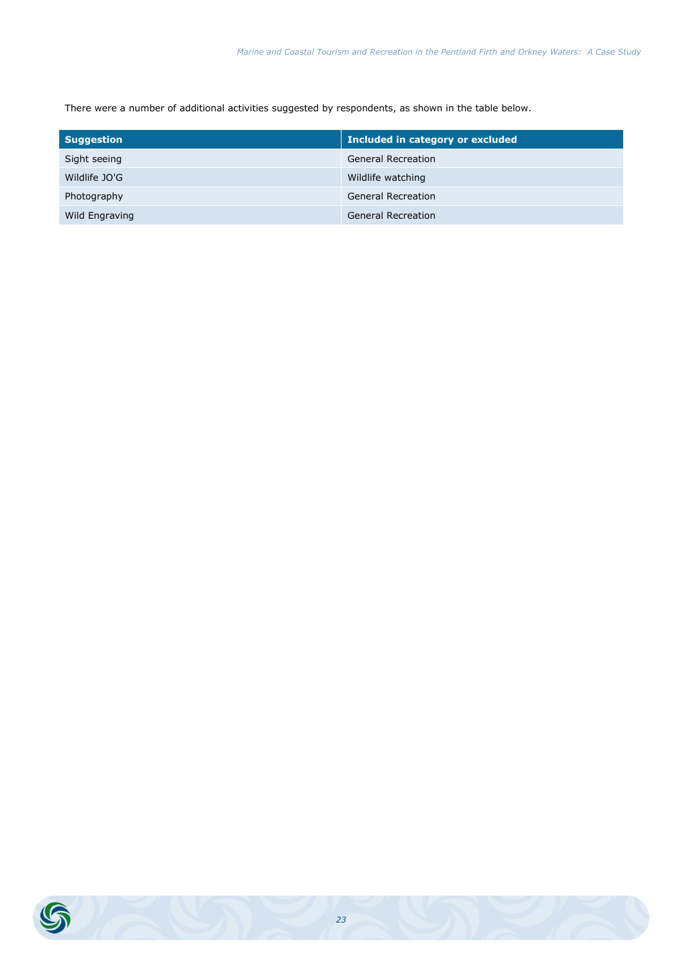There were a number of additional activities suggested by respondents, as shown in the table below.

| <b>Suggestion</b> | Included in category or excluded |
|-------------------|----------------------------------|
| Sight seeing      | <b>General Recreation</b>        |
| Wildlife JO'G     | Wildlife watching                |
| Photography       | <b>General Recreation</b>        |
| Wild Engraving    | <b>General Recreation</b>        |

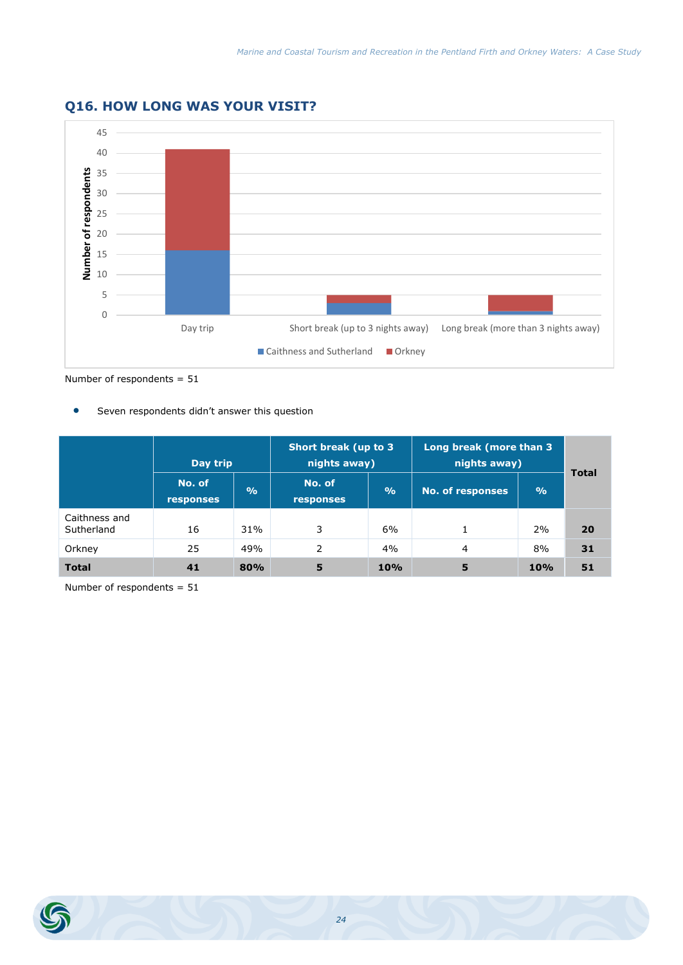

# **Q16. HOW LONG WAS YOUR VISIT?**

Number of respondents = 51

Seven respondents didn't answer this question

|                             | Day trip                   |               | Short break (up to 3<br>nights away) |               | Long break (more than 3<br>nights away) | <b>Total</b>  |    |
|-----------------------------|----------------------------|---------------|--------------------------------------|---------------|-----------------------------------------|---------------|----|
|                             | No. of<br><b>responses</b> | $\frac{9}{6}$ | No. of<br><b>responses</b>           | $\frac{9}{6}$ | <b>No. of responses</b>                 | $\frac{9}{6}$ |    |
| Caithness and<br>Sutherland | 16                         | 31%           | 3                                    | 6%            |                                         | 2%            | 20 |
| Orkney                      | 25                         | 49%           | 2                                    | 4%            | 4                                       | 8%            | 31 |
| <b>Total</b>                | 41                         | 80%           | 5                                    | 10%           | 5                                       | 10%           | 51 |

Number of respondents = 51

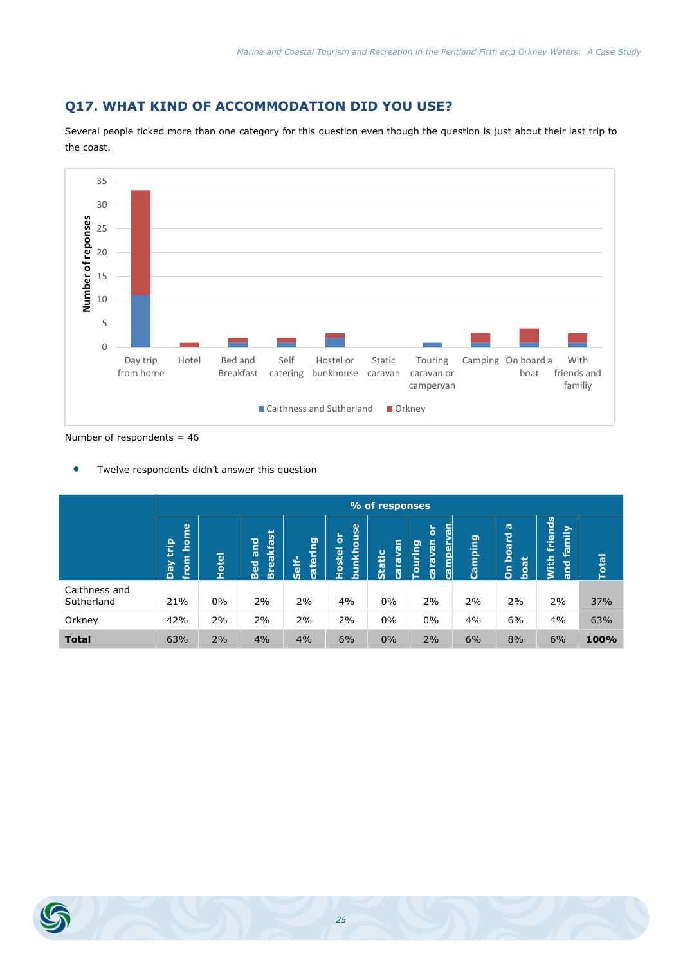# **Q17. WHAT KIND OF ACCOMMODATION DID YOU USE?**

Several people ticked more than one category for this question even though the question is just about their last trip to the coast.



Number of respondents = 46

Twelve respondents didn't answer this question

|                             | % of responses                                                          |            |                                              |                       |                          |                                     |                                                                                                          |                       |                                           |                                              |              |
|-----------------------------|-------------------------------------------------------------------------|------------|----------------------------------------------|-----------------------|--------------------------|-------------------------------------|----------------------------------------------------------------------------------------------------------|-----------------------|-------------------------------------------|----------------------------------------------|--------------|
|                             | <b>Pa</b><br>$\mathbf{p}$<br>$\bullet$<br>Έ<br>c<br>╘<br>Ved<br>$\circ$ | otel<br>Ŧ. | <b>Breakfast</b><br>겯<br><b>ID</b><br>ᄝ<br>m | tering<br>Self-<br>ß. | bunkhouse<br>ŏ<br>Hostel | Ξ<br>g<br><b>Static</b><br>g<br>ក្ល | <u>nev</u><br>$\overleftarrow{\mathbf{o}}$<br>campery<br>van<br>leg<br><u>i</u> our<br>cara <sup>®</sup> | ந<br>a.<br>Ini<br>Cam | $\sigma$<br>board<br>فتله<br>ී<br>ဒ်<br>ó | friends<br>amily<br>u.<br>Nith<br><b>Due</b> | <b>Total</b> |
| Caithness and<br>Sutherland | 21%                                                                     | $0\%$      | 2%                                           | 2%                    | 4%                       | $0\%$                               | 2%                                                                                                       | 2%                    | 2%                                        | 2%                                           | 37%          |
| Orkney                      | 42%                                                                     | 2%         | 2%                                           | 2%                    | 2%                       | $0\%$                               | $0\%$                                                                                                    | 4%                    | 6%                                        | 4%                                           | 63%          |
| <b>Total</b>                | 63%                                                                     | 2%         | 4%                                           | 4%                    | 6%                       | 0%                                  | 2%                                                                                                       | 6%                    | 8%                                        | 6%                                           | 100%         |

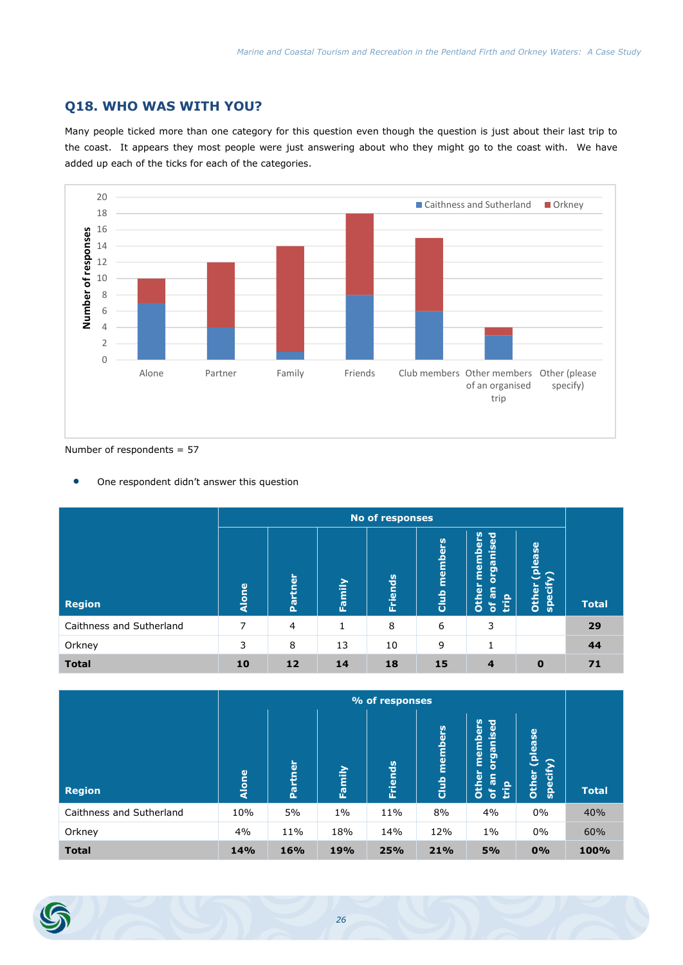# **Q18. WHO WAS WITH YOU?**

Many people ticked more than one category for this question even though the question is just about their last trip to the coast. It appears they most people were just answering about who they might go to the coast with. We have added up each of the ticks for each of the categories.



Number of respondents = 57

One respondent didn't answer this question

|                          |              | No of responses |        |                |                 |                                                                      |                                  |              |  |  |
|--------------------------|--------------|-----------------|--------|----------------|-----------------|----------------------------------------------------------------------|----------------------------------|--------------|--|--|
| <b>Region</b>            | <b>Alone</b> | Partner         | Family | <b>Friends</b> | members<br>Club | members<br><b><u>Diganised</u></b><br>Other<br><u>ie</u><br>$\delta$ | please<br><b>specif</b><br>Other | <b>Total</b> |  |  |
| Caithness and Sutherland | 7            | $\overline{4}$  | 1      | 8              | 6               | 3                                                                    |                                  | 29           |  |  |
| Orkney                   | 3            | 8               | 13     | 10             | 9               | $\mathbf{1}$                                                         |                                  | 44           |  |  |
| <b>Total</b>             | 10           | 12              | 14     | 18             | 15              | 4                                                                    | $\bf{0}$                         | 71           |  |  |

|                          | % of responses |         |        |                |                 |                                                                                         |                                    |              |
|--------------------------|----------------|---------|--------|----------------|-----------------|-----------------------------------------------------------------------------------------|------------------------------------|--------------|
| <b>Region</b>            | Alone          | Partner | Family | <b>Friends</b> | members<br>Club | members<br><b>organised</b><br>Other<br>c<br><b>rg</b><br>$\mathbf{a}$<br>Έ<br>$\delta$ | (please<br><b>Specify</b><br>Other | <b>Total</b> |
| Caithness and Sutherland | 10%            | 5%      | $1\%$  | 11%            | 8%              | 4%                                                                                      | $0\%$                              | 40%          |
| Orkney                   | 4%             | 11%     | 18%    | 14%            | 12%             | $1\%$                                                                                   | $0\%$                              | 60%          |
| <b>Total</b>             | 14%            | 16%     | 19%    | 25%            | 21%             | 5%                                                                                      | 0%                                 | 100%         |

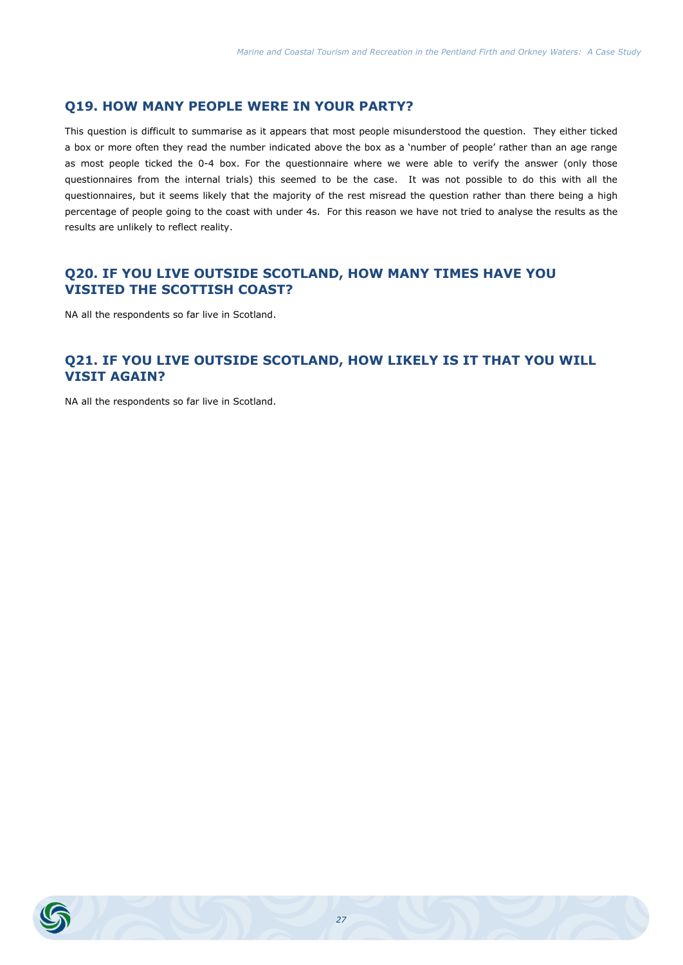#### **Q19. HOW MANY PEOPLE WERE IN YOUR PARTY?**

This question is difficult to summarise as it appears that most people misunderstood the question. They either ticked a box or more often they read the number indicated above the box as a 'number of people' rather than an age range as most people ticked the 0-4 box. For the questionnaire where we were able to verify the answer (only those questionnaires from the internal trials) this seemed to be the case. It was not possible to do this with all the questionnaires, but it seems likely that the majority of the rest misread the question rather than there being a high percentage of people going to the coast with under 4s. For this reason we have not tried to analyse the results as the results are unlikely to reflect reality.

#### **Q20. IF YOU LIVE OUTSIDE SCOTLAND, HOW MANY TIMES HAVE YOU VISITED THE SCOTTISH COAST?**

NA all the respondents so far live in Scotland.

# **Q21. IF YOU LIVE OUTSIDE SCOTLAND, HOW LIKELY IS IT THAT YOU WILL VISIT AGAIN?**

NA all the respondents so far live in Scotland.

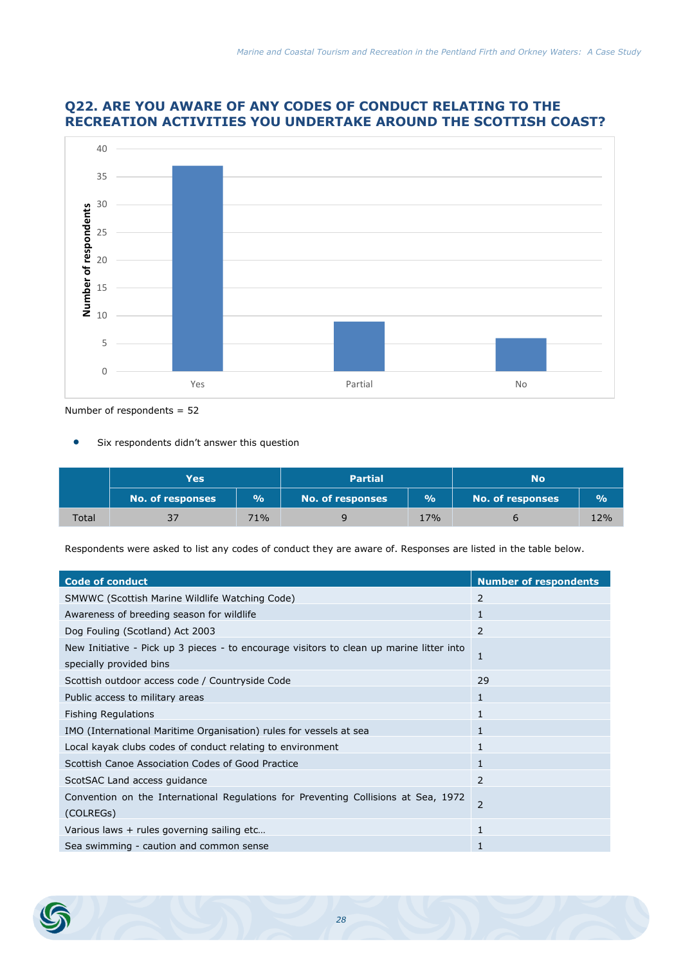# **Q22. ARE YOU AWARE OF ANY CODES OF CONDUCT RELATING TO THE RECREATION ACTIVITIES YOU UNDERTAKE AROUND THE SCOTTISH COAST?**



Number of respondents = 52

Six respondents didn't answer this question

|       | Yes:                    |     | <b>Partial</b>          |     | No                      |                |
|-------|-------------------------|-----|-------------------------|-----|-------------------------|----------------|
|       | <b>No. of responses</b> | 9/6 | <b>No. of responses</b> | 9/6 | <b>No. of responses</b> | $\frac{10}{6}$ |
| Total | 37                      | 71% |                         | 17% |                         | 12%            |

Respondents were asked to list any codes of conduct they are aware of. Responses are listed in the table below.

| <b>Code of conduct</b>                                                                                              | <b>Number of respondents</b> |
|---------------------------------------------------------------------------------------------------------------------|------------------------------|
| SMWWC (Scottish Marine Wildlife Watching Code)                                                                      | 2                            |
| Awareness of breeding season for wildlife                                                                           | 1                            |
| Dog Fouling (Scotland) Act 2003                                                                                     | 2                            |
| New Initiative - Pick up 3 pieces - to encourage visitors to clean up marine litter into<br>specially provided bins | 1                            |
| Scottish outdoor access code / Countryside Code                                                                     | 29                           |
| Public access to military areas                                                                                     | 1                            |
| <b>Fishing Regulations</b>                                                                                          | 1                            |
| IMO (International Maritime Organisation) rules for vessels at sea                                                  | 1                            |
| Local kayak clubs codes of conduct relating to environment                                                          |                              |
| Scottish Canoe Association Codes of Good Practice                                                                   | 1                            |
| ScotSAC Land access guidance                                                                                        | 2                            |
| Convention on the International Regulations for Preventing Collisions at Sea, 1972<br>(COLREGS)                     | 2                            |
| Various laws + rules governing sailing etc                                                                          | 1                            |
| Sea swimming - caution and common sense                                                                             |                              |

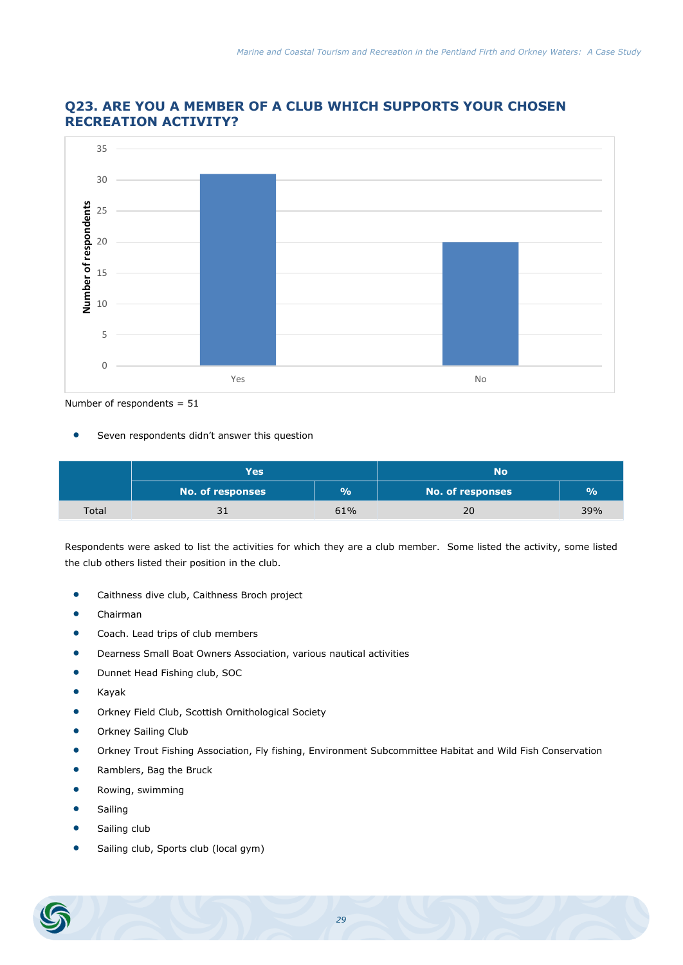

#### **Q23. ARE YOU A MEMBER OF A CLUB WHICH SUPPORTS YOUR CHOSEN RECREATION ACTIVITY?**

Number of respondents = 51

Seven respondents didn't answer this question

|       | <b>Yes</b>              |           | No               |               |  |
|-------|-------------------------|-----------|------------------|---------------|--|
|       | <b>No. of responses</b> | <b>Vo</b> | No. of responses | $\frac{0}{0}$ |  |
| Total |                         | 61%       | 20               | 39%           |  |

Respondents were asked to list the activities for which they are a club member. Some listed the activity, some listed the club others listed their position in the club.

- **•** Caithness dive club, Caithness Broch project
- Chairman
- Coach. Lead trips of club members
- Dearness Small Boat Owners Association, various nautical activities
- **•** Dunnet Head Fishing club, SOC
- Kayak
- Orkney Field Club, Scottish Ornithological Society
- **•** Orkney Sailing Club
- Orkney Trout Fishing Association, Fly fishing, Environment Subcommittee Habitat and Wild Fish Conservation
- **•** Ramblers, Bag the Bruck
- Rowing, swimming
- **•** Sailing
- Sailing club
- Sailing club, Sports club (local gym)

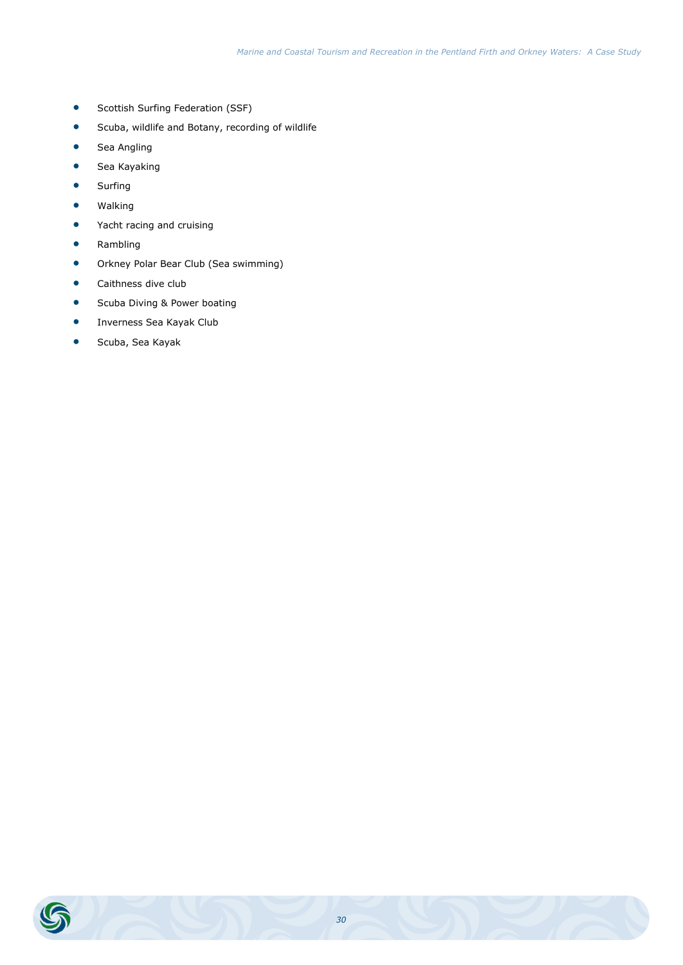- **•** Scottish Surfing Federation (SSF)
- Scuba, wildlife and Botany, recording of wildlife
- **•** Sea Angling
- **•** Sea Kayaking
- **•** Surfing
- **•** Walking
- Yacht racing and cruising
- **•** Rambling
- Orkney Polar Bear Club (Sea swimming)
- **•** Caithness dive club
- **•** Scuba Diving & Power boating
- **•** Inverness Sea Kayak Club
- Scuba, Sea Kayak

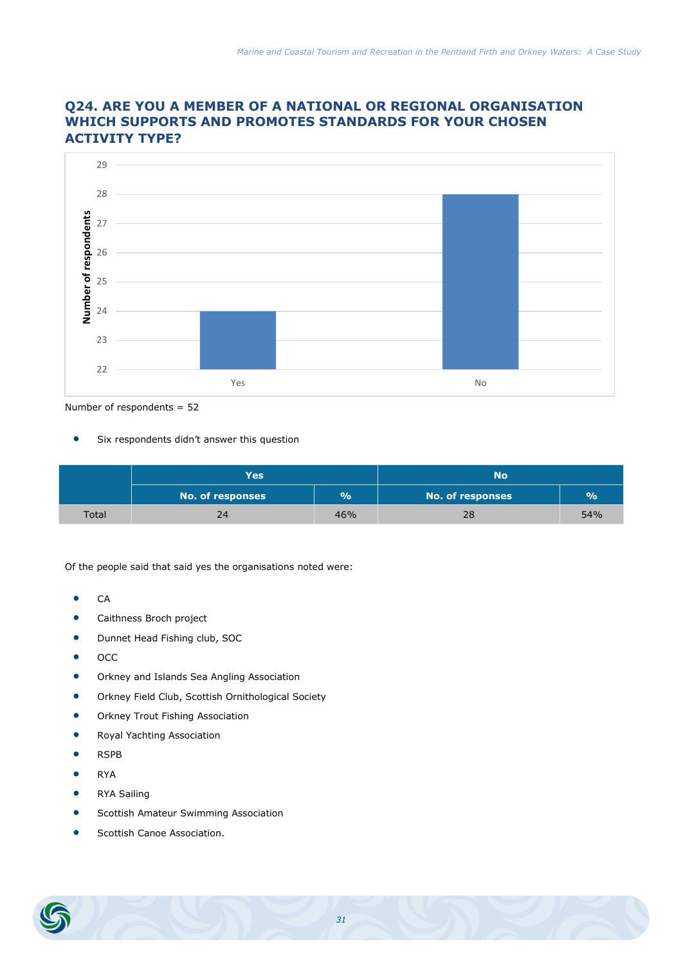

# **Q24. ARE YOU A MEMBER OF A NATIONAL OR REGIONAL ORGANISATION WHICH SUPPORTS AND PROMOTES STANDARDS FOR YOUR CHOSEN ACTIVITY TYPE?**

Number of respondents = 52

**Six respondents didn't answer this question** 

|       | Yes                     |               | No                      |     |  |
|-------|-------------------------|---------------|-------------------------|-----|--|
|       | <b>No. of responses</b> | $\frac{9}{6}$ | <b>No. of responses</b> | 9/6 |  |
| Total | 24                      | 46%           | 28                      | 54% |  |

Of the people said that said yes the organisations noted were:

- $\bullet$  CA
- **•** Caithness Broch project
- **•** Dunnet Head Fishing club, SOC
- $\bullet$   $OCC$
- **•** Orkney and Islands Sea Angling Association
- Orkney Field Club, Scottish Ornithological Society
- **•** Orkney Trout Fishing Association
- **•** Royal Yachting Association
- RSPB
- RYA
- **•** RYA Sailing
- **•** Scottish Amateur Swimming Association
- Scottish Canoe Association.

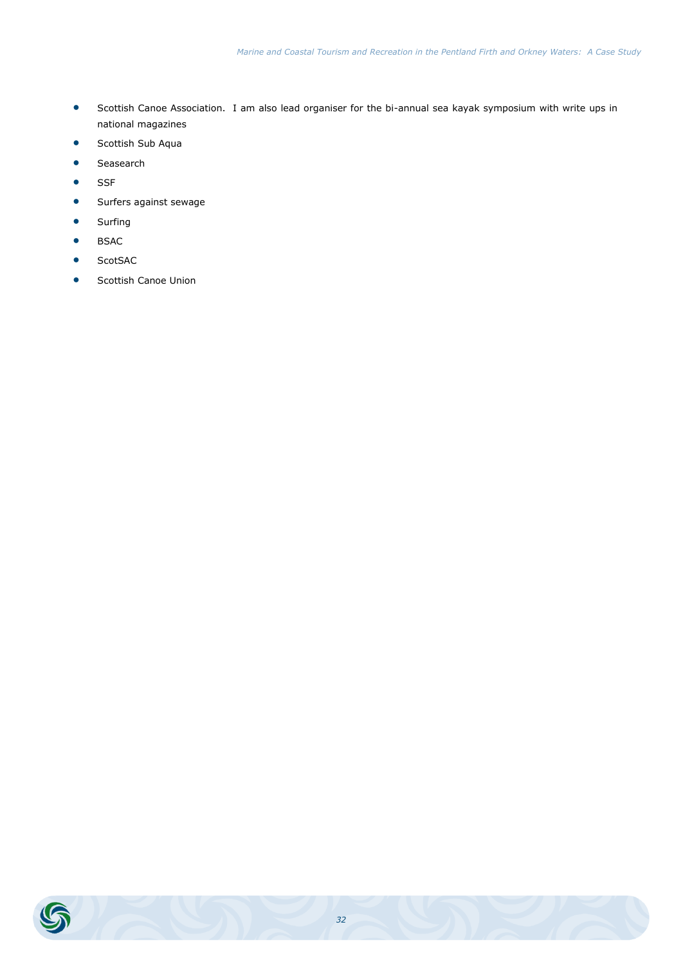- Scottish Canoe Association. I am also lead organiser for the bi-annual sea kayak symposium with write ups in national magazines
- **Scottish Sub Aqua**
- **•** Seasearch
- **•** SSF
- **Surfers against sewage**
- **•** Surfing
- **•** BSAC
- **•** ScotSAC
- Scottish Canoe Union

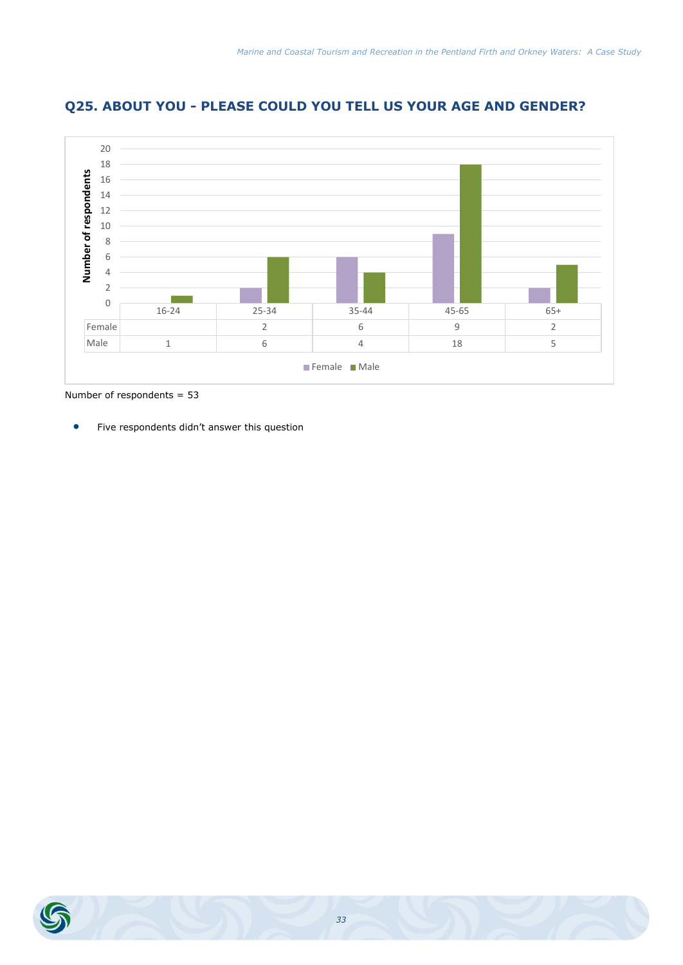

# **Q25. ABOUT YOU - PLEASE COULD YOU TELL US YOUR AGE AND GENDER?**

Number of respondents = 53

Five respondents didn't answer this question

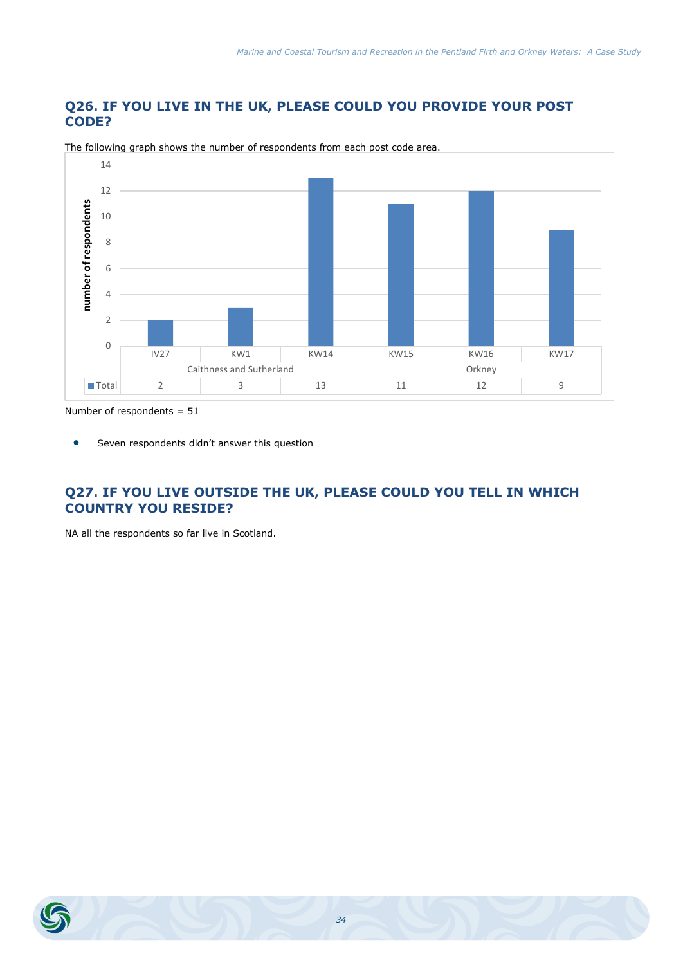# **Q26. IF YOU LIVE IN THE UK, PLEASE COULD YOU PROVIDE YOUR POST CODE?**



The following graph shows the number of respondents from each post code area.

Number of respondents = 51

**•** Seven respondents didn't answer this question

# **Q27. IF YOU LIVE OUTSIDE THE UK, PLEASE COULD YOU TELL IN WHICH COUNTRY YOU RESIDE?**

NA all the respondents so far live in Scotland.